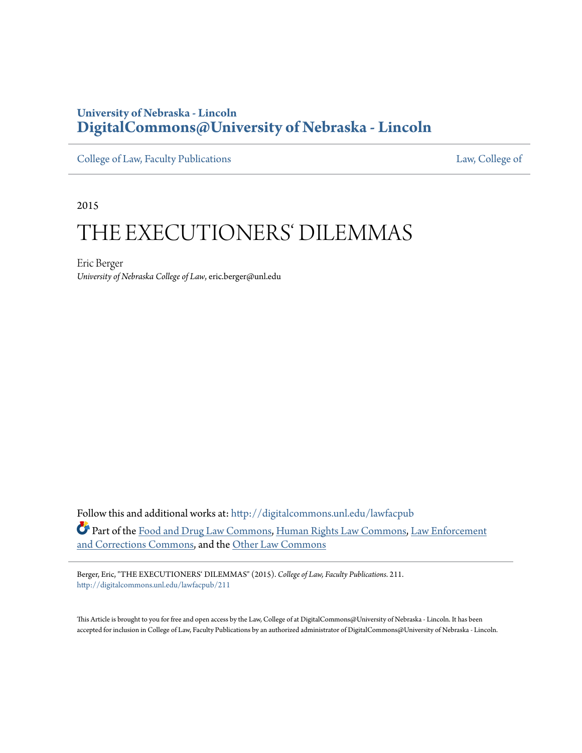## **University of Nebraska - Lincoln [DigitalCommons@University of Nebraska - Lincoln](http://digitalcommons.unl.edu?utm_source=digitalcommons.unl.edu%2Flawfacpub%2F211&utm_medium=PDF&utm_campaign=PDFCoverPages)**

[College of Law, Faculty Publications](http://digitalcommons.unl.edu/lawfacpub?utm_source=digitalcommons.unl.edu%2Flawfacpub%2F211&utm_medium=PDF&utm_campaign=PDFCoverPages) [Law, College of](http://digitalcommons.unl.edu/law?utm_source=digitalcommons.unl.edu%2Flawfacpub%2F211&utm_medium=PDF&utm_campaign=PDFCoverPages) Law, College of

2015

# THE EXECUTIONERS' DILEMMAS

Eric Berger *University of Nebraska College of Law*, eric.berger@unl.edu

Follow this and additional works at: [http://digitalcommons.unl.edu/lawfacpub](http://digitalcommons.unl.edu/lawfacpub?utm_source=digitalcommons.unl.edu%2Flawfacpub%2F211&utm_medium=PDF&utm_campaign=PDFCoverPages) Part of the [Food and Drug Law Commons,](http://network.bepress.com/hgg/discipline/844?utm_source=digitalcommons.unl.edu%2Flawfacpub%2F211&utm_medium=PDF&utm_campaign=PDFCoverPages) [Human Rights Law Commons,](http://network.bepress.com/hgg/discipline/847?utm_source=digitalcommons.unl.edu%2Flawfacpub%2F211&utm_medium=PDF&utm_campaign=PDFCoverPages) [Law Enforcement](http://network.bepress.com/hgg/discipline/854?utm_source=digitalcommons.unl.edu%2Flawfacpub%2F211&utm_medium=PDF&utm_campaign=PDFCoverPages) [and Corrections Commons,](http://network.bepress.com/hgg/discipline/854?utm_source=digitalcommons.unl.edu%2Flawfacpub%2F211&utm_medium=PDF&utm_campaign=PDFCoverPages) and the [Other Law Commons](http://network.bepress.com/hgg/discipline/621?utm_source=digitalcommons.unl.edu%2Flawfacpub%2F211&utm_medium=PDF&utm_campaign=PDFCoverPages)

Berger, Eric, "THE EXECUTIONERS' DILEMMAS" (2015). *College of Law, Faculty Publications*. 211. [http://digitalcommons.unl.edu/lawfacpub/211](http://digitalcommons.unl.edu/lawfacpub/211?utm_source=digitalcommons.unl.edu%2Flawfacpub%2F211&utm_medium=PDF&utm_campaign=PDFCoverPages)

This Article is brought to you for free and open access by the Law, College of at DigitalCommons@University of Nebraska - Lincoln. It has been accepted for inclusion in College of Law, Faculty Publications by an authorized administrator of DigitalCommons@University of Nebraska - Lincoln.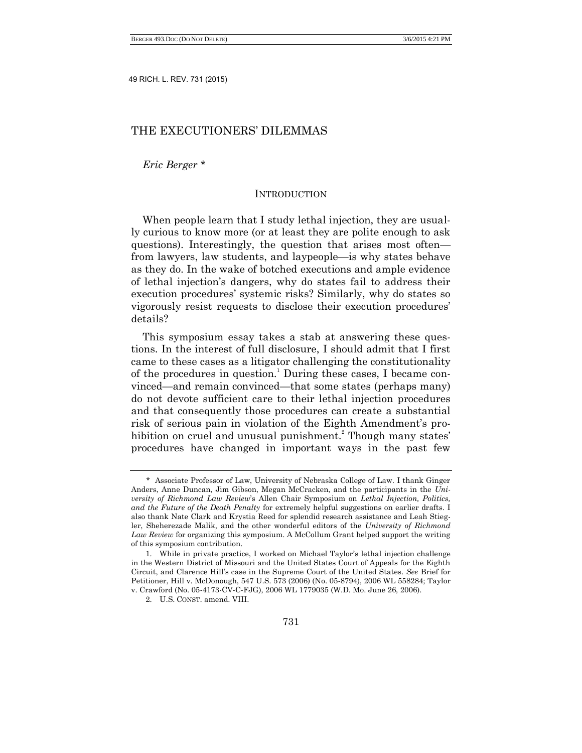### THE EXECUTIONERS' DILEMMAS

*Eric Berger* \*

#### **INTRODUCTION**

When people learn that I study lethal injection, they are usually curious to know more (or at least they are polite enough to ask questions). Interestingly, the question that arises most often from lawyers, law students, and laypeople—is why states behave as they do. In the wake of botched executions and ample evidence of lethal injection's dangers, why do states fail to address their execution procedures' systemic risks? Similarly, why do states so vigorously resist requests to disclose their execution procedures' details?

This symposium essay takes a stab at answering these questions. In the interest of full disclosure, I should admit that I first came to these cases as a litigator challenging the constitutionality of the procedures in question.<sup>1</sup> During these cases, I became convinced—and remain convinced—that some states (perhaps many) do not devote sufficient care to their lethal injection procedures and that consequently those procedures can create a substantial risk of serious pain in violation of the Eighth Amendment's prohibition on cruel and unusual punishment.<sup>2</sup> Though many states' procedures have changed in important ways in the past few

<sup>\*</sup> Associate Professor of Law, University of Nebraska College of Law. I thank Ginger Anders, Anne Duncan, Jim Gibson, Megan McCracken, and the participants in the *University of Richmond Law Review*'s Allen Chair Symposium on *Lethal Injection, Politics, and the Future of the Death Penalty* for extremely helpful suggestions on earlier drafts. I also thank Nate Clark and Krystia Reed for splendid research assistance and Leah Stiegler, Sheherezade Malik, and the other wonderful editors of the *University of Richmond Law Review* for organizing this symposium. A McCollum Grant helped support the writing of this symposium contribution.

<sup>1.</sup> While in private practice, I worked on Michael Taylor's lethal injection challenge in the Western District of Missouri and the United States Court of Appeals for the Eighth Circuit, and Clarence Hill's case in the Supreme Court of the United States. *See* Brief for Petitioner, Hill v. McDonough, 547 U.S. 573 (2006) (No. 05-8794), 2006 WL 558284; Taylor v. Crawford (No. 05-4173-CV-C-FJG), 2006 WL 1779035 (W.D. Mo. June 26, 2006).

<sup>2.</sup> U.S. CONST. amend. VIII.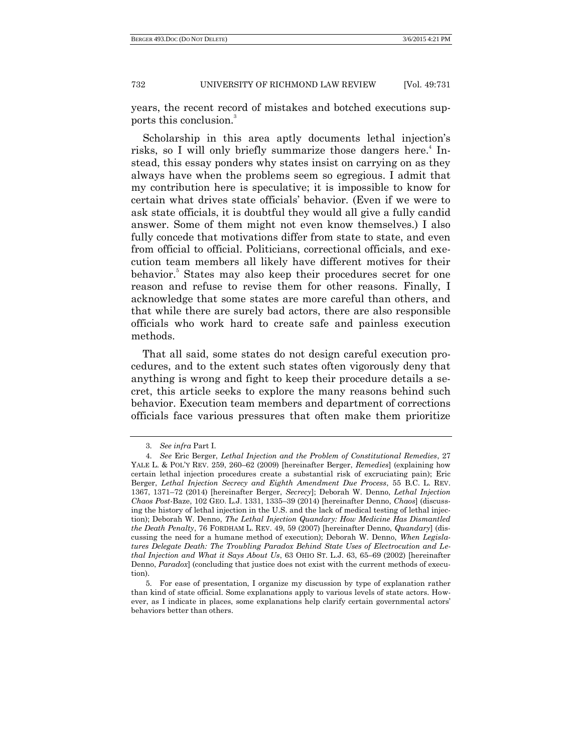years, the recent record of mistakes and botched executions supports this conclusion.<sup>3</sup>

<span id="page-2-0"></span>Scholarship in this area aptly documents lethal injection's risks, so I will only briefly summarize those dangers here.<sup>4</sup> Instead, this essay ponders why states insist on carrying on as they always have when the problems seem so egregious. I admit that my contribution here is speculative; it is impossible to know for certain what drives state officials' behavior. (Even if we were to ask state officials, it is doubtful they would all give a fully candid answer. Some of them might not even know themselves.) I also fully concede that motivations differ from state to state, and even from official to official. Politicians, correctional officials, and execution team members all likely have different motives for their behavior.<sup>5</sup> States may also keep their procedures secret for one reason and refuse to revise them for other reasons. Finally, I acknowledge that some states are more careful than others, and that while there are surely bad actors, there are also responsible officials who work hard to create safe and painless execution methods.

That all said, some states do not design careful execution procedures, and to the extent such states often vigorously deny that anything is wrong and fight to keep their procedure details a secret, this article seeks to explore the many reasons behind such behavior. Execution team members and department of corrections officials face various pressures that often make them prioritize

<sup>3.</sup> *See infra* Part I.

<sup>4.</sup> *See* Eric Berger, *Lethal Injection and the Problem of Constitutional Remedies*, 27 YALE L. & POL'Y REV. 259, 260–62 (2009) [hereinafter Berger, *Remedies*] (explaining how certain lethal injection procedures create a substantial risk of excruciating pain); Eric Berger, *Lethal Injection Secrecy and Eighth Amendment Due Process*, 55 B.C. L. REV. 1367, 1371–72 (2014) [hereinafter Berger, *Secrecy*]; Deborah W. Denno, *Lethal Injection Chaos Post-*Baze, 102 GEO. L.J. 1331, 1335–39 (2014) [hereinafter Denno, *Chaos*] (discussing the history of lethal injection in the U.S. and the lack of medical testing of lethal injection); Deborah W. Denno, *The Lethal Injection Quandary: How Medicine Has Dismantled the Death Penalty*, 76 FORDHAM L. REV. 49, 59 (2007) [hereinafter Denno, *Quandary*] (discussing the need for a humane method of execution); Deborah W. Denno, *When Legislatures Delegate Death: The Troubling Paradox Behind State Uses of Electrocution and Lethal Injection and What it Says About Us*, 63 OHIO ST. L.J. 63, 65–69 (2002) [hereinafter Denno, *Paradox*] (concluding that justice does not exist with the current methods of execution).

<sup>5.</sup> For ease of presentation, I organize my discussion by type of explanation rather than kind of state official. Some explanations apply to various levels of state actors. However, as I indicate in places, some explanations help clarify certain governmental actors' behaviors better than others.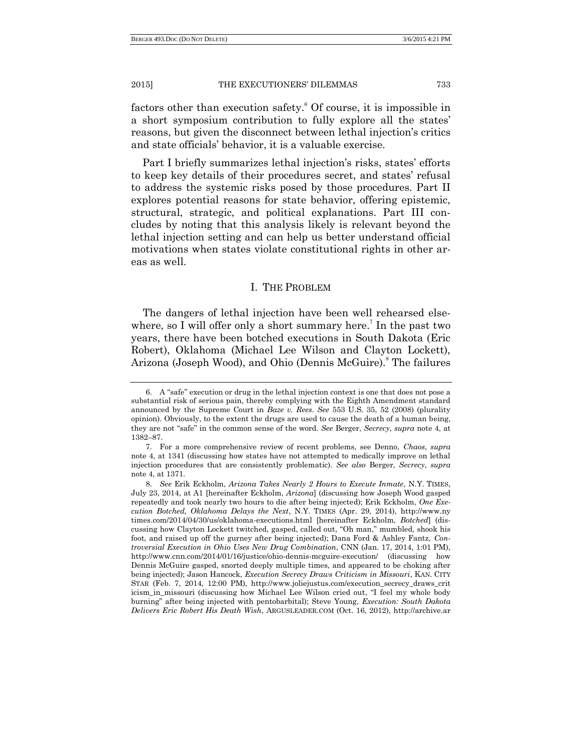factors other than execution safety. $6$  Of course, it is impossible in a short symposium contribution to fully explore all the states' reasons, but given the disconnect between lethal injection's critics and state officials' behavior, it is a valuable exercise.

Part I briefly summarizes lethal injection's risks, states' efforts to keep key details of their procedures secret, and states' refusal to address the systemic risks posed by those procedures. Part II explores potential reasons for state behavior, offering epistemic, structural, strategic, and political explanations. Part III concludes by noting that this analysis likely is relevant beyond the lethal injection setting and can help us better understand official motivations when states violate constitutional rights in other areas as well.

#### I. THE PROBLEM

The dangers of lethal injection have been well rehearsed elsewhere, so I will offer only a short summary here.<sup>7</sup> In the past two years, there have been botched executions in South Dakota (Eric Robert), Oklahoma (Michael Lee Wilson and Clayton Lockett), Arizona (Joseph Wood), and Ohio (Dennis McGuire).<sup>8</sup> The failures

<sup>6.</sup> A "safe" execution or drug in the lethal injection context is one that does not pose a substantial risk of serious pain, thereby complying with the Eighth Amendment standard announced by the Supreme Court in *Baze v. Rees*. *See* 553 U.S. 35, 52 (2008) (plurality opinion). Obviously, to the extent the drugs are used to cause the death of a human being, they are not "safe" in the common sense of the word. *See* Berger, *Secrecy*, *supra* note 4, at 1382–87.

<sup>7.</sup> For a more comprehensive review of recent problems, see Denno, *Chaos*, *supra* note 4, at 1341 (discussing how states have not attempted to medically improve on lethal injection procedures that are consistently problematic). *See also* Berger, *Secrecy*, *supra* note 4, at 1371.

<sup>8.</sup> *See* Erik Eckholm, *Arizona Takes Nearly 2 Hours to Execute Inmate*, N.Y. TIMES, July 23, 2014, at A1 [hereinafter Eckholm, *Arizona*] (discussing how Joseph Wood gasped repeatedly and took nearly two hours to die after being injected); Erik Eckholm, *One Execution Botched, Oklahoma Delays the Next*, N.Y. TIMES (Apr. 29, 2014), http://www.ny times.com/2014/04/30/us/oklahoma-executions.html [hereinafter Eckholm, *Botched*] (discussing how Clayton Lockett twitched, gasped, called out, "Oh man," mumbled, shook his foot, and raised up off the gurney after being injected); Dana Ford & Ashley Fantz, *Controversial Execution in Ohio Uses New Drug Combination*, CNN (Jan. 17, 2014, 1:01 PM), http://www.cnn.com/2014/01/16/justice/ohio-dennis-mcguire-execution/ (discussing how Dennis McGuire gasped, snorted deeply multiple times, and appeared to be choking after being injected); Jason Hancock, *Execution Secrecy Draws Criticism in Missouri*, KAN. CITY STAR (Feb. 7, 2014, 12:00 PM), http://www.joliejustus.com/execution\_secrecy\_draws\_crit icism\_in\_missouri (discussing how Michael Lee Wilson cried out, "I feel my whole body burning‖ after being injected with pentobarbital); Steve Young, *Execution: South Dakota Delivers Eric Robert His Death Wish*, ARGUSLEADER.COM (Oct. 16, 2012), http://archive.ar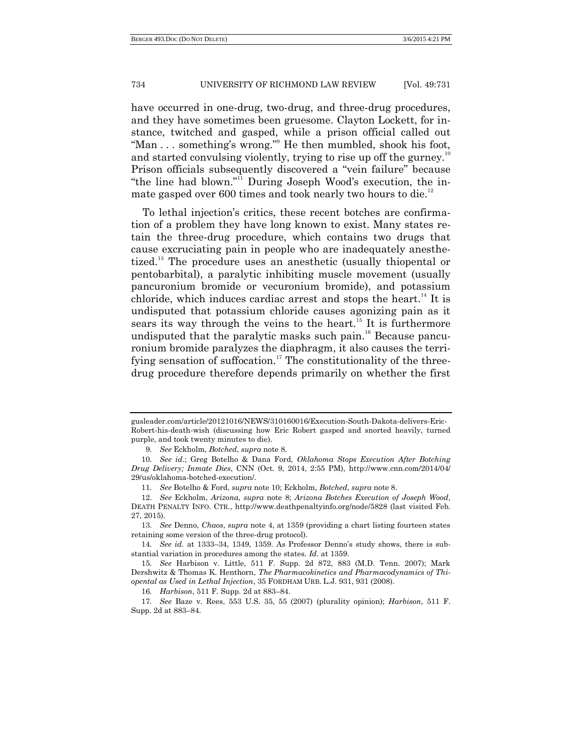have occurred in one-drug, two-drug, and three-drug procedures, and they have sometimes been gruesome. Clayton Lockett, for instance, twitched and gasped, while a prison official called out "Man  $\dots$  something's wrong." He then mumbled, shook his foot, and started convulsing violently, trying to rise up off the gurney.<sup>10</sup> Prison officials subsequently discovered a "vein failure" because "the line had blown."<sup>11</sup> During Joseph Wood's execution, the inmate gasped over 600 times and took nearly two hours to die.<sup>12</sup>

To lethal injection's critics, these recent botches are confirmation of a problem they have long known to exist. Many states retain the three-drug procedure, which contains two drugs that cause excruciating pain in people who are inadequately anesthetized.<sup>13</sup> The procedure uses an anesthetic (usually thiopental or pentobarbital), a paralytic inhibiting muscle movement (usually pancuronium bromide or vecuronium bromide), and potassium chloride, which induces cardiac arrest and stops the heart.<sup>14</sup> It is undisputed that potassium chloride causes agonizing pain as it sears its way through the veins to the heart.<sup>15</sup> It is furthermore undisputed that the paralytic masks such pain.<sup>16</sup> Because pancuronium bromide paralyzes the diaphragm, it also causes the terrifying sensation of suffocation.<sup>17</sup> The constitutionality of the threedrug procedure therefore depends primarily on whether the first

9*. See* Eckholm, *Botched*, *supra* note 8.

gusleader.com/article/20121016/NEWS/310160016/Execution-South-Dakota-delivers-Eric-Robert-his-death-wish (discussing how Eric Robert gasped and snorted heavily, turned purple, and took twenty minutes to die).

<sup>10.</sup> *See id*.; Greg Botelho & Dana Ford, *Oklahoma Stops Execution After Botching Drug Delivery; Inmate Dies*, CNN (Oct. 9, 2014, 2:55 PM), http://www.cnn.com/2014/04/ 29/us/oklahoma-botched-execution/.

<sup>11</sup>*. See* Botelho & Ford, *supra* note 10; Eckholm, *Botched*, *supra* note 8.

<sup>12.</sup> *See* Eckholm, *Arizona*, *supra* note 8; *Arizona Botches Execution of Joseph Wood*, DEATH PENALTY INFO. CTR., http://www.deathpenaltyinfo.org/node/5828 (last visited Feb. 27, 2015).

<sup>13.</sup> *See* Denno, *Chaos*, *supra* note 4, at 1359 (providing a chart listing fourteen states retaining some version of the three-drug protocol).

<sup>14</sup>*. See id.* at 1333–34, 1349, 1359. As Professor Denno's study shows, there is substantial variation in procedures among the states. *Id.* at 1359.

<sup>15</sup>*. See* Harbison v. Little, 511 F. Supp. 2d 872, 883 (M.D. Tenn. 2007); Mark Dershwitz & Thomas K. Henthorn, *The Pharmacokinetics and Pharmacodynamics of Thiopental as Used in Lethal Injection*, 35 FORDHAM URB. L.J. 931, 931 (2008).

<sup>16</sup>*. Harbison*, 511 F. Supp. 2d at 883–84.

<sup>17</sup>*. See* Baze v. Rees, 553 U.S. 35, 55 (2007) (plurality opinion); *Harbison*, 511 F. Supp. 2d at 883–84.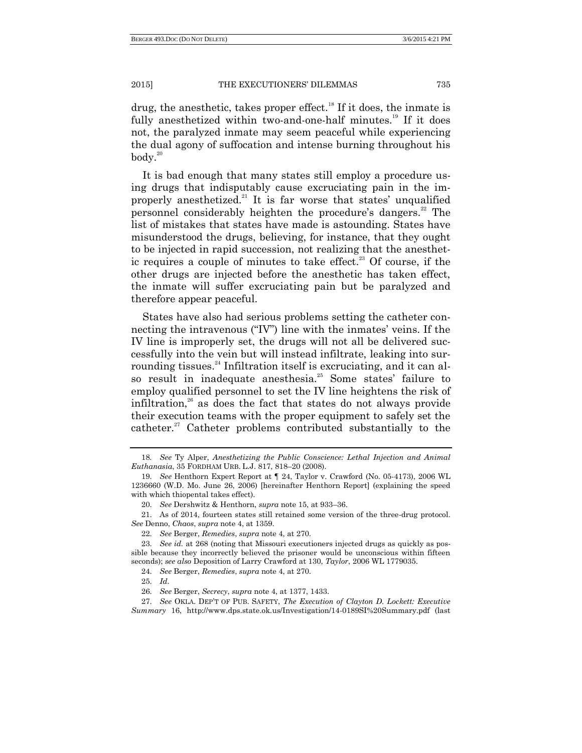drug, the anesthetic, takes proper effect.<sup>18</sup> If it does, the inmate is fully anesthetized within two-and-one-half minutes.<sup>19</sup> If it does not, the paralyzed inmate may seem peaceful while experiencing the dual agony of suffocation and intense burning throughout his  $body.<sup>20</sup>$ 

It is bad enough that many states still employ a procedure using drugs that indisputably cause excruciating pain in the improperly anesthetized.<sup>21</sup> It is far worse that states' unqualified personnel considerably heighten the procedure's dangers.<sup>22</sup> The list of mistakes that states have made is astounding. States have misunderstood the drugs, believing, for instance, that they ought to be injected in rapid succession, not realizing that the anesthetic requires a couple of minutes to take effect.<sup>23</sup> Of course, if the other drugs are injected before the anesthetic has taken effect, the inmate will suffer excruciating pain but be paralyzed and therefore appear peaceful.

States have also had serious problems setting the catheter connecting the intravenous ( $'IV'$ ) line with the inmates' veins. If the IV line is improperly set, the drugs will not all be delivered successfully into the vein but will instead infiltrate, leaking into surrounding tissues.<sup>24</sup> Infiltration itself is excruciating, and it can also result in inadequate anesthesia.<sup>25</sup> Some states' failure to employ qualified personnel to set the IV line heightens the risk of infiltration,<sup>26</sup> as does the fact that states do not always provide their execution teams with the proper equipment to safely set the catheter.<sup>27</sup> Catheter problems contributed substantially to the

<sup>18</sup>*. See* Ty Alper, *Anesthetizing the Public Conscience: Lethal Injection and Animal Euthanasia*, 35 FORDHAM URB. L.J. 817, 818–20 (2008).

<sup>19.</sup> *See* Henthorn Expert Report at ¶ 24, Taylor v. Crawford (No. 05-4173), 2006 WL 1236660 (W.D. Mo. June 26, 2006) [hereinafter Henthorn Report] (explaining the speed with which thiopental takes effect).

<sup>20.</sup> *See* Dershwitz & Henthorn, *supra* note 15, at 933–36.

<sup>21.</sup> As of 2014, fourteen states still retained some version of the three-drug protocol. *See* Denno, *Chaos*, *supra* note 4, at 1359.

<sup>22.</sup> *See* Berger, *Remedies*, *supra* note 4, at 270.

<sup>23.</sup> *See id.* at 268 (noting that Missouri executioners injected drugs as quickly as possible because they incorrectly believed the prisoner would be unconscious within fifteen seconds); *see also* Deposition of Larry Crawford at 130, *Taylor*, 2006 WL 1779035.

<sup>24.</sup> *See* Berger, *Remedies*, *supra* note 4, at 270.

<sup>25.</sup> *Id*.

<sup>26.</sup> *See* Berger, *Secrecy*, *supra* note 4, at 1377, 1433.

<sup>27.</sup> *See* OKLA. DEP'T OF PUB. SAFETY, *The Execution of Clayton D. Lockett: Executive Summary* 16, http://www.dps.state.ok.us/Investigation/14-0189SI%20Summary.pdf (last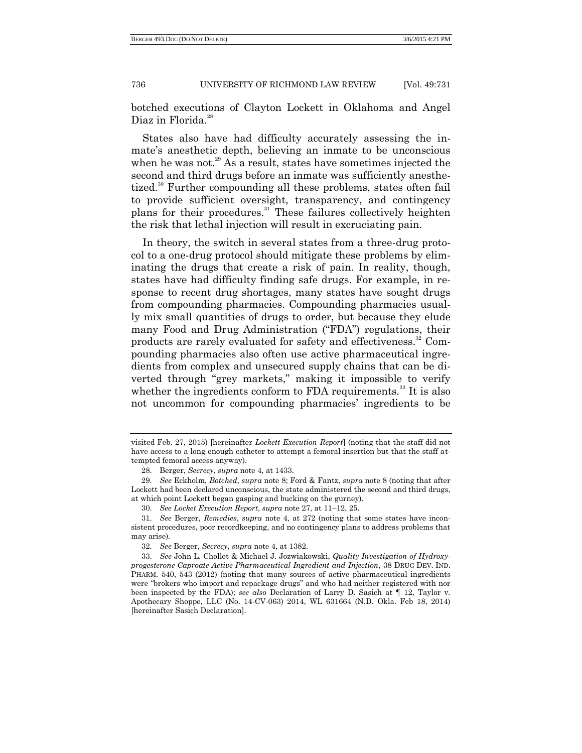botched executions of Clayton Lockett in Oklahoma and Angel Diaz in Florida $^{28}$ 

States also have had difficulty accurately assessing the inmate's anesthetic depth, believing an inmate to be unconscious when he was not.<sup>29</sup> As a result, states have sometimes injected the second and third drugs before an inmate was sufficiently anesthetized.<sup>30</sup> Further compounding all these problems, states often fail to provide sufficient oversight, transparency, and contingency plans for their procedures.<sup>31</sup> These failures collectively heighten the risk that lethal injection will result in excruciating pain.

In theory, the switch in several states from a three-drug protocol to a one-drug protocol should mitigate these problems by eliminating the drugs that create a risk of pain. In reality, though, states have had difficulty finding safe drugs. For example, in response to recent drug shortages, many states have sought drugs from compounding pharmacies. Compounding pharmacies usually mix small quantities of drugs to order, but because they elude many Food and Drug Administration ("FDA") regulations, their products are rarely evaluated for safety and effectiveness.<sup>32</sup> Compounding pharmacies also often use active pharmaceutical ingredients from complex and unsecured supply chains that can be diverted through "grey markets," making it impossible to verify whether the ingredients conform to FDA requirements.<sup>33</sup> It is also not uncommon for compounding pharmacies' ingredients to be

visited Feb. 27, 2015) [hereinafter *Lockett Execution Report*] (noting that the staff did not have access to a long enough catheter to attempt a femoral insertion but that the staff attempted femoral access anyway).

<sup>28.</sup> Berger, *Secrecy*, *supra* note 4, at 1433.

<sup>29.</sup> *See* Eckholm, *Botched*, *supra* note 8; Ford & Fantz, *supra* note 8 (noting that after Lockett had been declared unconscious, the state administered the second and third drugs, at which point Lockett began gasping and bucking on the gurney).

<sup>30.</sup> *See Locket Execution Report*, *supra* note 27, at 11–12, 25.

<sup>31.</sup> *See* Berger, *Remedies*, *supra* note 4, at 272 (noting that some states have inconsistent procedures, poor recordkeeping, and no contingency plans to address problems that may arise).

<sup>32.</sup> *See* Berger, *Secrecy*, *supra* note 4, at 1382.

<sup>33.</sup> *See* John L. Chollet & Michael J. Jozwiakowski, *Quality Investigation of Hydroxyprogesterone Caproate Active Pharmaceutical Ingredient and Injection*, 38 DRUG DEV. IND. PHARM. 540, 543 (2012) (noting that many sources of active pharmaceutical ingredients were "brokers who import and repackage drugs" and who had neither registered with nor been inspected by the FDA); *see also* Declaration of Larry D. Sasich at ¶ 12, Taylor v. Apothecary Shoppe, LLC (No. 14-CV-063) 2014, WL 631664 (N.D. Okla. Feb 18, 2014) [hereinafter Sasich Declaration].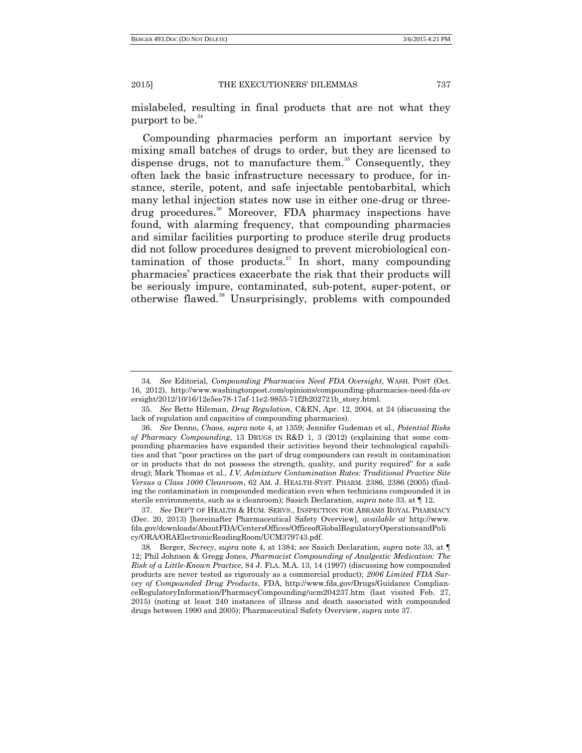mislabeled, resulting in final products that are not what they purport to be. $34$ 

Compounding pharmacies perform an important service by mixing small batches of drugs to order, but they are licensed to dispense drugs, not to manufacture them.<sup>35</sup> Consequently, they often lack the basic infrastructure necessary to produce, for instance, sterile, potent, and safe injectable pentobarbital, which many lethal injection states now use in either one-drug or threedrug procedures. <sup>36</sup> Moreover, FDA pharmacy inspections have found, with alarming frequency, that compounding pharmacies and similar facilities purporting to produce sterile drug products did not follow procedures designed to prevent microbiological contamination of those products. $37$  In short, many compounding pharmacies' practices exacerbate the risk that their products will be seriously impure, contaminated, sub-potent, super-potent, or otherwise flawed.<sup>38</sup> Unsurprisingly, problems with compounded

37. *See* DEP'T OF HEALTH & HUM. SERVS., INSPECTION FOR ABRAMS ROYAL PHARMACY (Dec. 20, 2013) [hereinafter Pharmaceutical Safety Overview], *available at* http://www. fda.gov/downloads/AboutFDA/CentersOffices/OfficeofGlobalRegulatoryOperationsandPoli cy/ORA/ORAElectronicReadingRoom/UCM379743.pdf.

38*.* Berger, *Secrecy*, *supra* note 4, at 1384; *see* Sasich Declaration, *supra* note 33, at ¶ 12; Phil Johnson & Gregg Jones, *Pharmacist Compounding of Analgestic Medication: The Risk of a Little-Known Practice*, 84 J. FLA. M.A. 13, 14 (1997) (discussing how compounded products are never tested as rigorously as a commercial product); *2006 Limited FDA Survey of Compounded Drug Products*, FDA, http://www.fda.gov/Drugs/Guidance ComplianceRegulatoryInformation/PharmacyCompounding/ucm204237.htm (last visited Feb. 27, 2015) (noting at least 240 instances of illness and death associated with compounded drugs between 1990 and 2005); Pharmaceutical Safety Overview, *supra* note 37.

<sup>34</sup>*. See* Editorial, *Compounding Pharmacies Need FDA Oversight*, WASH. POST (Oct. 16, 2012), http://www.washingtonpost.com/opinions/compounding-pharmacies-need-fda-ov ersight/2012/10/16/12e5ee78-17af-11e2-9855-71f2b202721b\_story.html.

<sup>35.</sup> *See* Bette Hileman, *Drug Regulation*, C&EN, Apr. 12, 2004, at 24 (discussing the lack of regulation and capacities of compounding pharmacies).

<sup>36.</sup> *See* Denno, *Chaos*, *supra* note 4, at 1359; Jennifer Gudeman et al., *Potential Risks of Pharmacy Compounding*, 13 DRUGS IN R&D 1, 3 (2012) (explaining that some compounding pharmacies have expanded their activities beyond their technological capabilities and that "poor practices on the part of drug compounders can result in contamination or in products that do not possess the strength, quality, and purity required" for a safe drug); Mark Thomas et al., *I.V. Admixture Contamination Rates: Traditional Practice Site Versus a Class 1000 Cleanroom*, 62 AM. J. HEALTH-SYST. PHARM. 2386, 2386 (2005) (finding the contamination in compounded medication even when technicians compounded it in sterile environments, such as a cleanroom); Sasich Declaration, *supra* note 33, at ¶ 12.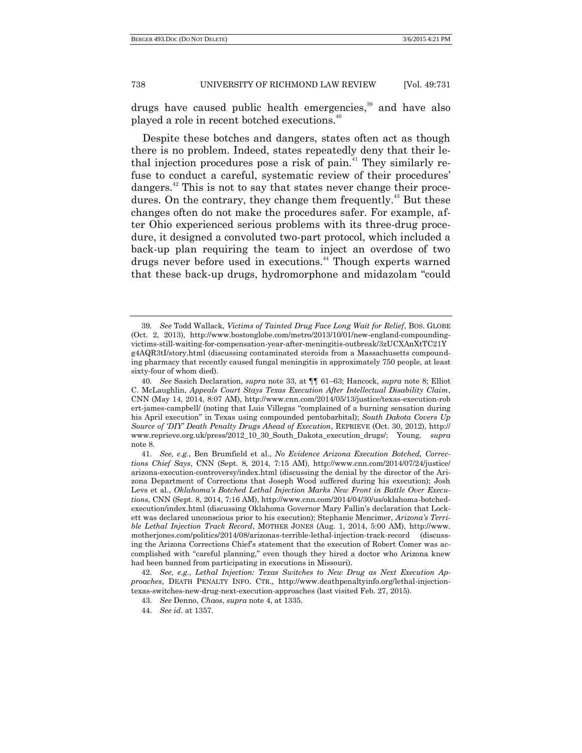drugs have caused public health emergencies, <sup>39</sup> and have also played a role in recent botched executions.<sup>40</sup>

Despite these botches and dangers, states often act as though there is no problem. Indeed, states repeatedly deny that their lethal injection procedures pose a risk of pain.<sup> $41$ </sup> They similarly refuse to conduct a careful, systematic review of their procedures' dangers.<sup>42</sup> This is not to say that states never change their procedures. On the contrary, they change them frequently.<sup>43</sup> But these changes often do not make the procedures safer. For example, after Ohio experienced serious problems with its three-drug procedure, it designed a convoluted two-part protocol, which included a back-up plan requiring the team to inject an overdose of two drugs never before used in executions.<sup>44</sup> Though experts warned that these back-up drugs, hydromorphone and midazolam "could"

<sup>39</sup>*. See* Todd Wallack, *Victims of Tainted Drug Face Long Wait for Relief*, BOS. GLOBE (Oct. 2, 2013), http://www.bostonglobe.com/metro/2013/10/01/new-england-compoundingvictims-still-waiting-for-compensation-year-after-meningitis-outbreak/3zUCXAnXtTC21Y g4AQR3tI/story.html (discussing contaminated steroids from a Massachusetts compounding pharmacy that recently caused fungal meningitis in approximately 750 people, at least sixty-four of whom died).

<sup>40</sup>*. See* Sasich Declaration, *supra* note 33, at ¶¶ 61–63; Hancock, *supra* note 8; Elliot C. McLaughlin, *Appeals Court Stays Texas Execution After Intellectual Disability Claim*, CNN (May 14, 2014, 8:07 AM), http://www.cnn.com/2014/05/13/justice/texas-execution-rob ert-james-campbell/ (noting that Luis Villegas "complained of a burning sensation during his April execution" in Texas using compounded pentobarbital); *South Dakota Covers Up Source of 'DIY' Death Penalty Drugs Ahead of Execution*, REPRIEVE (Oct. 30, 2012), http:// www.reprieve.org.uk/press/2012\_10\_30\_South\_Dakota\_execution\_drugs/; Young, *supra* note 8.

<sup>41.</sup> *See, e.g.*, Ben Brumfield et al., *No Evidence Arizona Execution Botched, Corrections Chief Says*, CNN (Sept. 8, 2014, 7:15 AM), http://www.cnn.com/2014/07/24/justice/ arizona-execution-controversy/index.html (discussing the denial by the director of the Arizona Department of Corrections that Joseph Wood suffered during his execution); Josh Levs et al., *Oklahoma's Botched Lethal Injection Marks New Front in Battle Over Executions*, CNN (Sept. 8, 2014, 7:16 AM), http://www.cnn.com/2014/04/30/us/oklahoma-botchedexecution/index.html (discussing Oklahoma Governor Mary Fallin's declaration that Lockett was declared unconscious prior to his execution); Stephanie Mencimer, *Arizona's Terrible Lethal Injection Track Record*, MOTHER JONES (Aug. 1, 2014, 5:00 AM), http://www. motherjones.com/politics/2014/08/arizonas-terrible-lethal-injection-track-record (discussing the Arizona Corrections Chief's statement that the execution of Robert Comer was accomplished with "careful planning," even though they hired a doctor who Arizona knew had been banned from participating in executions in Missouri).

<sup>42.</sup> *See, e.g.*, *Lethal Injection: Texas Switches to New Drug as Next Execution Approaches*, DEATH PENALTY INFO. CTR., http://www.deathpenaltyinfo.org/lethal-injectiontexas-switches-new-drug-next-execution-approaches (last visited Feb. 27, 2015).

<sup>43.</sup> *See* Denno, *Chaos*, *supra* note [4,](#page-2-0) at 1335.

<sup>44.</sup> *See id*. at 1357.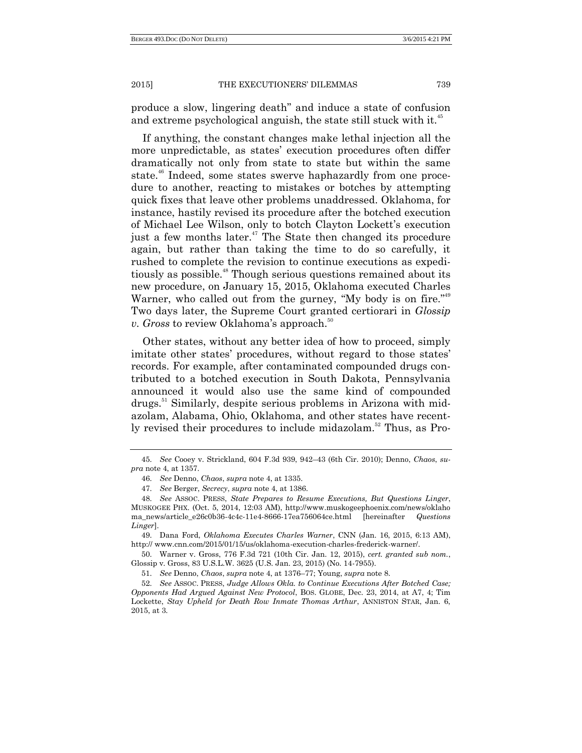produce a slow, lingering death" and induce a state of confusion and extreme psychological anguish, the state still stuck with it.<sup>45</sup>

If anything, the constant changes make lethal injection all the more unpredictable, as states' execution procedures often differ dramatically not only from state to state but within the same state. <sup>46</sup> Indeed, some states swerve haphazardly from one procedure to another, reacting to mistakes or botches by attempting quick fixes that leave other problems unaddressed. Oklahoma, for instance, hastily revised its procedure after the botched execution of Michael Lee Wilson, only to botch Clayton Lockett's execution just a few months later.<sup>47</sup> The State then changed its procedure again, but rather than taking the time to do so carefully, it rushed to complete the revision to continue executions as expeditiously as possible. <sup>48</sup> Though serious questions remained about its new procedure, on January 15, 2015, Oklahoma executed Charles Warner, who called out from the gurney, "My body is on fire."<sup>49</sup> Two days later, the Supreme Court granted certiorari in *Glossip v. Gross* to review Oklahoma's approach.<sup>50</sup>

Other states, without any better idea of how to proceed, simply imitate other states' procedures, without regard to those states' records. For example, after contaminated compounded drugs contributed to a botched execution in South Dakota, Pennsylvania announced it would also use the same kind of compounded drugs.<sup>51</sup> Similarly, despite serious problems in Arizona with midazolam, Alabama, Ohio, Oklahoma, and other states have recently revised their procedures to include midazolam.<sup>52</sup> Thus, as Pro-

49. Dana Ford, *Oklahoma Executes Charles Warner*, CNN (Jan. 16, 2015, 6:13 AM), http:// www.cnn.com/2015/01/15/us/oklahoma-execution-charles-frederick-warner/.

50. Warner v. Gross, 776 F.3d 721 (10th Cir. Jan. 12, 2015), *cert. granted sub nom.*, Glossip v. Gross, 83 U.S.L.W. 3625 (U.S. Jan. 23, 2015) (No. 14-7955).

51. *See* Denno, *Chaos*, *supra* note [4,](#page-2-0) at 1376–77; Young, *supra* note 8.

52. *See* ASSOC. PRESS, *Judge Allows Okla. to Continue Executions After Botched Case; Opponents Had Argued Against New Protocol*, BOS. GLOBE, Dec. 23, 2014, at A7, 4; Tim Lockette, *Stay Upheld for Death Row Inmate Thomas Arthur*, ANNISTON STAR, Jan. 6, 2015, at 3.

<sup>45.</sup> *See* Cooey v. Strickland, 604 F.3d 939, 942–43 (6th Cir. 2010); Denno, *Chaos*, *supra* note 4, at 1357.

<sup>46.</sup> *See* Denno, *Chaos*, *supra* note [4,](#page-2-0) at 1335.

<sup>47.</sup> *See* Berger, *Secrecy*, *supra* note 4, at 1386.

<sup>48.</sup> *See* ASSOC. PRESS, *State Prepares to Resume Executions, But Questions Linger*, MUSKOGEE PHX. (Oct. 5, 2014, 12:03 AM), http://www.muskogeephoenix.com/news/oklaho ma\_news/article\_e26c0b36-4c4c-11e4-8666-17ea756064ce.html [hereinafter *Questions Linger*].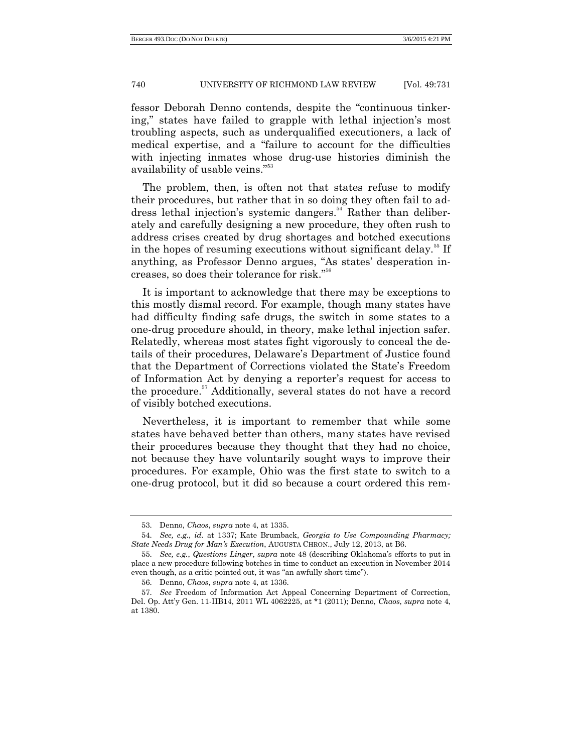fessor Deborah Denno contends, despite the "continuous tinkering," states have failed to grapple with lethal injection's most troubling aspects, such as underqualified executioners, a lack of medical expertise, and a "failure to account for the difficulties with injecting inmates whose drug-use histories diminish the availability of usable veins."<sup>53</sup>

The problem, then, is often not that states refuse to modify their procedures, but rather that in so doing they often fail to address lethal injection's systemic dangers.<sup>54</sup> Rather than deliberately and carefully designing a new procedure, they often rush to address crises created by drug shortages and botched executions in the hopes of resuming executions without significant delay.<sup>55</sup> If anything, as Professor Denno argues, "As states' desperation increases, so does their tolerance for risk."<sup>56</sup>

It is important to acknowledge that there may be exceptions to this mostly dismal record. For example, though many states have had difficulty finding safe drugs, the switch in some states to a one-drug procedure should, in theory, make lethal injection safer. Relatedly, whereas most states fight vigorously to conceal the details of their procedures, Delaware's Department of Justice found that the Department of Corrections violated the State's Freedom of Information Act by denying a reporter's request for access to the procedure.<sup>57</sup> Additionally, several states do not have a record of visibly botched executions.

Nevertheless, it is important to remember that while some states have behaved better than others, many states have revised their procedures because they thought that they had no choice, not because they have voluntarily sought ways to improve their procedures. For example, Ohio was the first state to switch to a one-drug protocol, but it did so because a court ordered this rem-

<sup>53.</sup> Denno, *Chaos*, *supra* not[e 4,](#page-2-0) at 1335.

<sup>54.</sup> *See, e.g.*, *id.* at 1337; Kate Brumback, *Georgia to Use Compounding Pharmacy; State Needs Drug for Man's Execution*, AUGUSTA CHRON., July 12, 2013, at B6.

<sup>55.</sup> *See, e.g.*, *Questions Linger*, *supra* note 48 (describing Oklahoma's efforts to put in place a new procedure following botches in time to conduct an execution in November 2014 even though, as a critic pointed out, it was "an awfully short time").

<sup>56.</sup> Denno, *Chaos*, *supra* not[e 4,](#page-2-0) at 1336.

<sup>57.</sup> *See* Freedom of Information Act Appeal Concerning Department of Correction, Del. Op. Att'y Gen. 11-IIB14, 2011 WL 4062225, at \*1 (2011); Denno, *Chaos*, *supra* note 4, at 1380.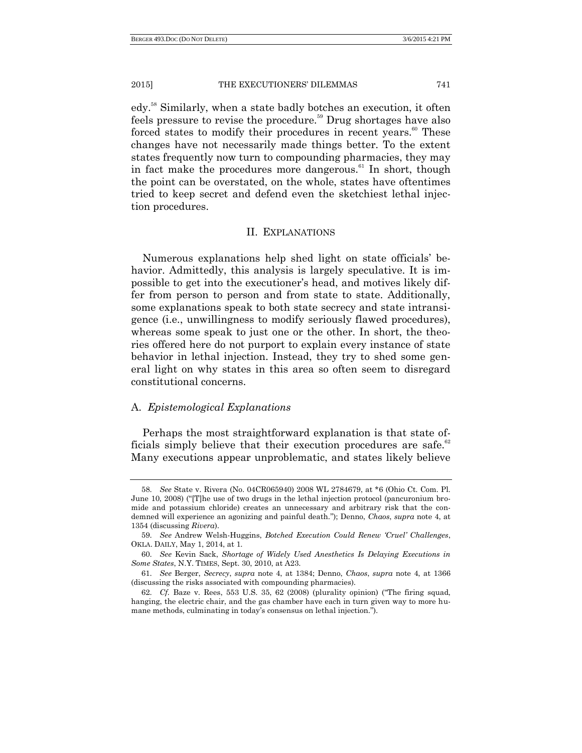edy.<sup>58</sup> Similarly, when a state badly botches an execution, it often feels pressure to revise the procedure.<sup>59</sup> Drug shortages have also forced states to modify their procedures in recent years.<sup>60</sup> These changes have not necessarily made things better. To the extent states frequently now turn to compounding pharmacies, they may in fact make the procedures more dangerous.<sup>61</sup> In short, though the point can be overstated, on the whole, states have oftentimes tried to keep secret and defend even the sketchiest lethal injection procedures.

#### II. EXPLANATIONS

Numerous explanations help shed light on state officials' behavior. Admittedly, this analysis is largely speculative. It is impossible to get into the executioner's head, and motives likely differ from person to person and from state to state. Additionally, some explanations speak to both state secrecy and state intransigence (i.e., unwillingness to modify seriously flawed procedures), whereas some speak to just one or the other. In short, the theories offered here do not purport to explain every instance of state behavior in lethal injection. Instead, they try to shed some general light on why states in this area so often seem to disregard constitutional concerns.

#### A. *Epistemological Explanations*

Perhaps the most straightforward explanation is that state officials simply believe that their execution procedures are safe.<sup>62</sup> Many executions appear unproblematic, and states likely believe

<sup>58.</sup> *See* State v. Rivera (No. 04CR065940) 2008 WL 2784679, at \*6 (Ohio Ct. Com. Pl. June 10, 2008) ("The use of two drugs in the lethal injection protocol (pancuronium bromide and potassium chloride) creates an unnecessary and arbitrary risk that the condemned will experience an agonizing and painful death.‖); Denno, *Chaos*, *supra* note [4,](#page-2-0) at 1354 (discussing *Rivera*).

<sup>59.</sup> *See* Andrew Welsh-Huggins, *Botched Execution Could Renew 'Cruel' Challenges*, OKLA. DAILY, May 1, 2014, at 1.

<sup>60.</sup> *See* Kevin Sack, *Shortage of Widely Used Anesthetics Is Delaying Executions in Some States*, N.Y. TIMES, Sept. 30, 2010, at A23.

<sup>61.</sup> *See* Berger, *Secrecy*, *supra* note 4, at 1384; Denno, *Chaos*, *supra* note 4, at 1366 (discussing the risks associated with compounding pharmacies).

<sup>62.</sup> *Cf.* Baze v. Rees, 553 U.S. 35, 62 (2008) (plurality opinion) ("The firing squad, hanging, the electric chair, and the gas chamber have each in turn given way to more humane methods, culminating in today's consensus on lethal injection.").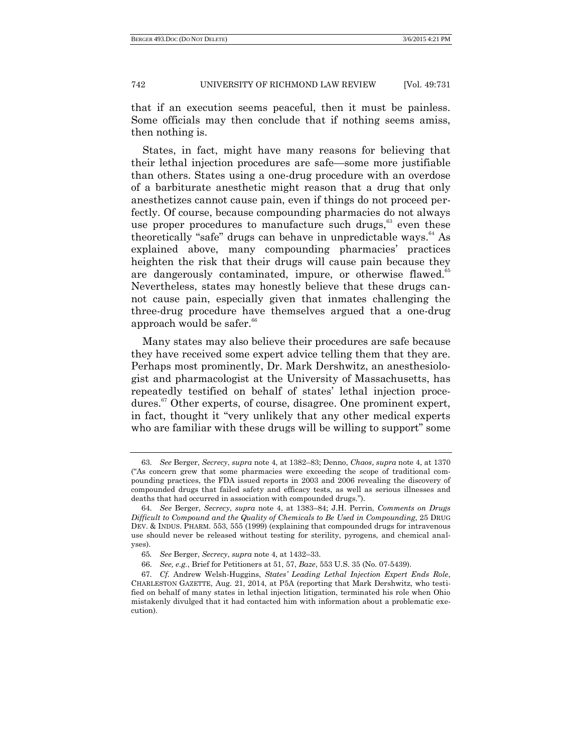that if an execution seems peaceful, then it must be painless. Some officials may then conclude that if nothing seems amiss, then nothing is.

States, in fact, might have many reasons for believing that their lethal injection procedures are safe—some more justifiable than others. States using a one-drug procedure with an overdose of a barbiturate anesthetic might reason that a drug that only anesthetizes cannot cause pain, even if things do not proceed perfectly. Of course, because compounding pharmacies do not always use proper procedures to manufacture such drugs, $63$  even these theoretically "safe" drugs can behave in unpredictable ways.<sup>64</sup> As explained above, many compounding pharmacies' practices heighten the risk that their drugs will cause pain because they are dangerously contaminated, impure, or otherwise flawed.<sup>65</sup> Nevertheless, states may honestly believe that these drugs cannot cause pain, especially given that inmates challenging the three-drug procedure have themselves argued that a one-drug approach would be safer.<sup>66</sup>

Many states may also believe their procedures are safe because they have received some expert advice telling them that they are. Perhaps most prominently, Dr. Mark Dershwitz, an anesthesiologist and pharmacologist at the University of Massachusetts, has repeatedly testified on behalf of states' lethal injection procedures.<sup>67</sup> Other experts, of course, disagree. One prominent expert, in fact, thought it "very unlikely that any other medical experts who are familiar with these drugs will be willing to support" some

<sup>63.</sup> *See* Berger, *Secrecy*, *supra* note 4, at 1382–83; Denno, *Chaos*, *supra* note 4, at 1370 (―As concern grew that some pharmacies were exceeding the scope of traditional compounding practices, the FDA issued reports in 2003 and 2006 revealing the discovery of compounded drugs that failed safety and efficacy tests, as well as serious illnesses and deaths that had occurred in association with compounded drugs.").

<sup>64.</sup> *See* Berger, *Secrecy*, *supra* note 4, at 1383–84; J.H. Perrin, *Comments on Drugs Difficult to Compound and the Quality of Chemicals to Be Used in Compounding*, 25 DRUG DEV. & INDUS. PHARM. 553, 555 (1999) (explaining that compounded drugs for intravenous use should never be released without testing for sterility, pyrogens, and chemical analyses).

<sup>65</sup>*. See* Berger, *Secrecy*, *supra* note 4, at 1432–33.

<sup>66.</sup> *See, e.g.*, Brief for Petitioners at 51, 57, *Baze*, 553 U.S. 35 (No. 07-5439).

<sup>67.</sup> *Cf.* Andrew Welsh-Huggins, *States' Leading Lethal Injection Expert Ends Role*, CHARLESTON GAZETTE, Aug. 21, 2014, at P5A (reporting that Mark Dershwitz, who testified on behalf of many states in lethal injection litigation, terminated his role when Ohio mistakenly divulged that it had contacted him with information about a problematic execution).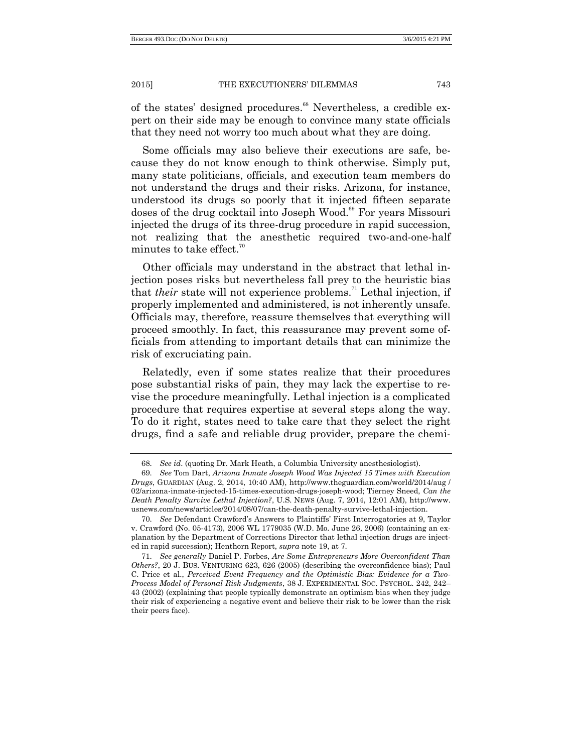of the states' designed procedures.<sup>68</sup> Nevertheless, a credible expert on their side may be enough to convince many state officials that they need not worry too much about what they are doing.

Some officials may also believe their executions are safe, because they do not know enough to think otherwise. Simply put, many state politicians, officials, and execution team members do not understand the drugs and their risks. Arizona, for instance, understood its drugs so poorly that it injected fifteen separate doses of the drug cocktail into Joseph Wood.<sup>69</sup> For years Missouri injected the drugs of its three-drug procedure in rapid succession, not realizing that the anesthetic required two-and-one-half minutes to take effect. $\frac{70}{2}$ 

Other officials may understand in the abstract that lethal injection poses risks but nevertheless fall prey to the heuristic bias that *their* state will not experience problems.<sup>71</sup> Lethal injection, if properly implemented and administered, is not inherently unsafe. Officials may, therefore, reassure themselves that everything will proceed smoothly. In fact, this reassurance may prevent some officials from attending to important details that can minimize the risk of excruciating pain.

Relatedly, even if some states realize that their procedures pose substantial risks of pain, they may lack the expertise to revise the procedure meaningfully. Lethal injection is a complicated procedure that requires expertise at several steps along the way. To do it right, states need to take care that they select the right drugs, find a safe and reliable drug provider, prepare the chemi-

<sup>68.</sup> *See id*. (quoting Dr. Mark Heath, a Columbia University anesthesiologist).

<sup>69.</sup> *See* Tom Dart, *Arizona Inmate Joseph Wood Was Injected 15 Times with Execution Drugs*, GUARDIAN (Aug. 2, 2014, 10:40 AM), http://www.theguardian.com/world/2014/aug / 02/arizona-inmate-injected-15-times-execution-drugs-joseph-wood; Tierney Sneed, *Can the Death Penalty Survive Lethal Injection?*, U.S. NEWS (Aug. 7, 2014, 12:01 AM), http://www. usnews.com/news/articles/2014/08/07/can-the-death-penalty-survive-lethal-injection.

<sup>70.</sup> *See* Defendant Crawford's Answers to Plaintiffs' First Interrogatories at 9, Taylor v. Crawford (No. 05-4173), 2006 WL 1779035 (W.D. Mo. June 26, 2006) (containing an explanation by the Department of Corrections Director that lethal injection drugs are injected in rapid succession); Henthorn Report, *supra* note 19, at 7.

<sup>71.</sup> *See generally* Daniel P. Forbes, *Are Some Entrepreneurs More Overconfident Than Others?*, 20 J. BUS. VENTURING 623, 626 (2005) (describing the overconfidence bias); Paul C. Price et al., *Perceived Event Frequency and the Optimistic Bias: Evidence for a Two-Process Model of Personal Risk Judgments*, 38 J. EXPERIMENTAL SOC. PSYCHOL. 242, 242– 43 (2002) (explaining that people typically demonstrate an optimism bias when they judge their risk of experiencing a negative event and believe their risk to be lower than the risk their peers face).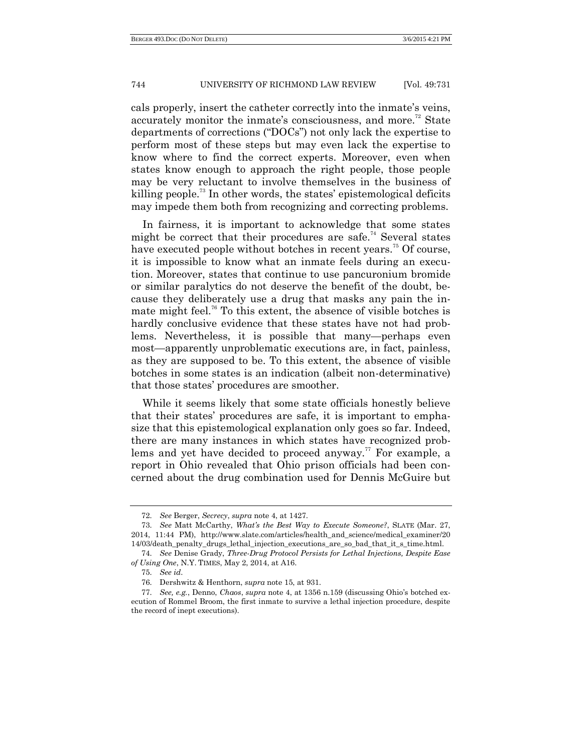cals properly, insert the catheter correctly into the inmate's veins, accurately monitor the inmate's consciousness, and more.<sup>72</sup> State departments of corrections ("DOCs") not only lack the expertise to perform most of these steps but may even lack the expertise to know where to find the correct experts. Moreover, even when states know enough to approach the right people, those people may be very reluctant to involve themselves in the business of killing people.<sup>73</sup> In other words, the states' epistemological deficits may impede them both from recognizing and correcting problems.

In fairness, it is important to acknowledge that some states might be correct that their procedures are safe.<sup>74</sup> Several states have executed people without botches in recent years.<sup>75</sup> Of course, it is impossible to know what an inmate feels during an execution. Moreover, states that continue to use pancuronium bromide or similar paralytics do not deserve the benefit of the doubt, because they deliberately use a drug that masks any pain the inmate might feel.<sup>76</sup> To this extent, the absence of visible botches is hardly conclusive evidence that these states have not had problems. Nevertheless, it is possible that many—perhaps even most—apparently unproblematic executions are, in fact, painless, as they are supposed to be. To this extent, the absence of visible botches in some states is an indication (albeit non-determinative) that those states' procedures are smoother.

While it seems likely that some state officials honestly believe that their states' procedures are safe, it is important to emphasize that this epistemological explanation only goes so far. Indeed, there are many instances in which states have recognized problems and yet have decided to proceed anyway.<sup>77</sup> For example, a report in Ohio revealed that Ohio prison officials had been concerned about the drug combination used for Dennis McGuire but

<sup>72.</sup> *See* Berger, *Secrecy*, *supra* note 4, at 1427.

<sup>73.</sup> *See* Matt McCarthy, *What's the Best Way to Execute Someone?*, SLATE (Mar. 27, 2014, 11:44 PM), http://www.slate.com/articles/health\_and\_science/medical\_examiner/20 14/03/death\_penalty\_drugs\_lethal\_injection\_executions\_are\_so\_bad\_that\_it\_s\_time.html.

<sup>74.</sup> *See* Denise Grady, *Three-Drug Protocol Persists for Lethal Injections, Despite Ease of Using One*, N.Y. TIMES, May 2, 2014, at A16.

<sup>75.</sup> *See id*.

<sup>76.</sup> Dershwitz & Henthorn, *supra* note 15, at 931.

<sup>77.</sup> *See, e.g.*, Denno, *Chaos*, *supra* note 4, at 1356 n.159 (discussing Ohio's botched execution of Rommel Broom, the first inmate to survive a lethal injection procedure, despite the record of inept executions).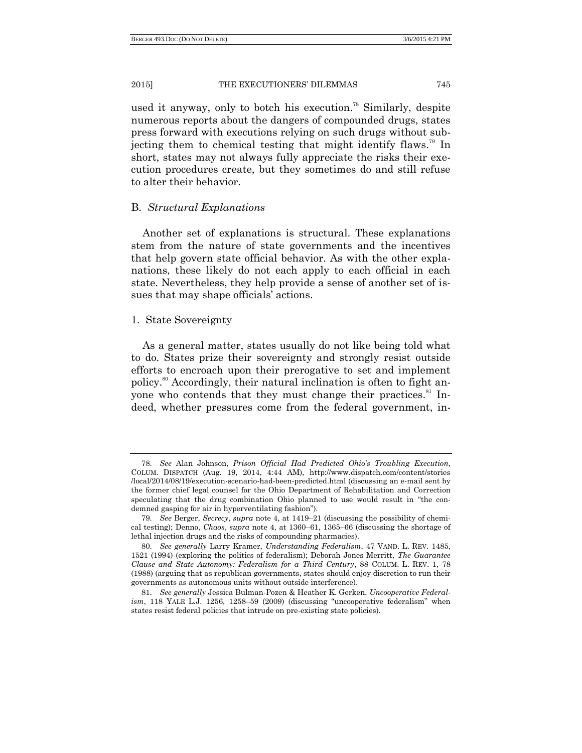used it anyway, only to botch his execution. <sup>78</sup> Similarly, despite numerous reports about the dangers of compounded drugs, states press forward with executions relying on such drugs without subjecting them to chemical testing that might identify flaws. <sup>79</sup> In short, states may not always fully appreciate the risks their execution procedures create, but they sometimes do and still refuse to alter their behavior.

#### B. *Structural Explanations*

Another set of explanations is structural. These explanations stem from the nature of state governments and the incentives that help govern state official behavior. As with the other explanations, these likely do not each apply to each official in each state. Nevertheless, they help provide a sense of another set of issues that may shape officials' actions.

#### 1. State Sovereignty

As a general matter, states usually do not like being told what to do. States prize their sovereignty and strongly resist outside efforts to encroach upon their prerogative to set and implement policy.<sup>80</sup> Accordingly, their natural inclination is often to fight anyone who contends that they must change their practices.<sup>81</sup> Indeed, whether pressures come from the federal government, in-

<sup>78.</sup> *See* Alan Johnson, *Prison Official Had Predicted Ohio's Troubling Execution*, COLUM. DISPATCH (Aug. 19, 2014, 4:44 AM), http://www.dispatch.com/content/stories /local/2014/08/19/execution-scenario-had-been-predicted.html (discussing an e-mail sent by the former chief legal counsel for the Ohio Department of Rehabilitation and Correction speculating that the drug combination Ohio planned to use would result in "the condemned gasping for air in hyperventilating fashion").

<sup>79.</sup> *See* Berger, *Secrecy*, *supra* not[e 4,](#page-2-0) at 1419–21 (discussing the possibility of chemical testing); Denno, *Chaos*, *supra* note 4, at 1360–61, 1365–66 (discussing the shortage of lethal injection drugs and the risks of compounding pharmacies).

<sup>80.</sup> *See generally* Larry Kramer, *Understanding Federalism*, 47 VAND. L. REV. 1485, 1521 (1994) (exploring the politics of federalism); Deborah Jones Merritt, *The Guarantee Clause and State Autonomy: Federalism for a Third Century*, 88 COLUM. L. REV. 1, 78 (1988) (arguing that as republican governments, states should enjoy discretion to run their governments as autonomous units without outside interference).

<sup>81.</sup> *See generally* Jessica Bulman-Pozen & Heather K. Gerken, *Uncooperative Federal* $ism, 118$  YALE L.J.  $1256, 1258-59$   $(2009)$  (discussing "uncooperative federalism" when states resist federal policies that intrude on pre-existing state policies).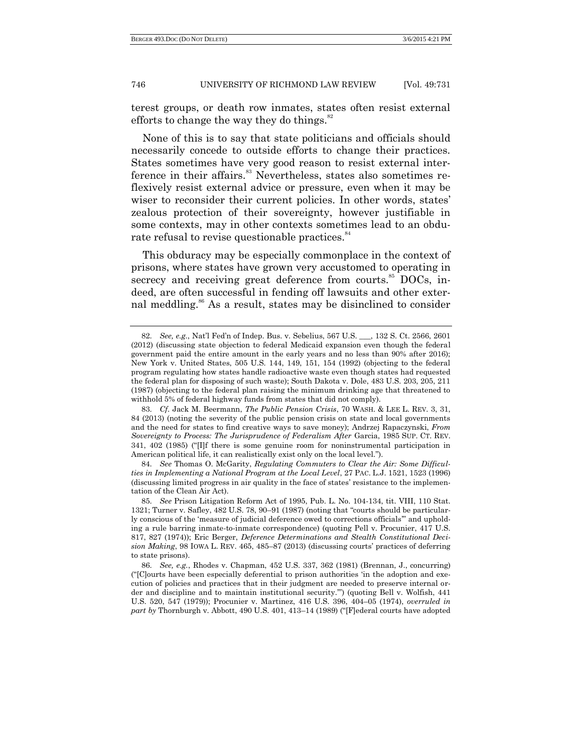terest groups, or death row inmates, states often resist external efforts to change the way they do things. $82$ 

None of this is to say that state politicians and officials should necessarily concede to outside efforts to change their practices. States sometimes have very good reason to resist external interference in their affairs.<sup>83</sup> Nevertheless, states also sometimes reflexively resist external advice or pressure, even when it may be wiser to reconsider their current policies. In other words, states' zealous protection of their sovereignty, however justifiable in some contexts, may in other contexts sometimes lead to an obdurate refusal to revise questionable practices.<sup>84</sup>

This obduracy may be especially commonplace in the context of prisons, where states have grown very accustomed to operating in secrecy and receiving great deference from courts.<sup>85</sup> DOCs, indeed, are often successful in fending off lawsuits and other external meddling.<sup>86</sup> As a result, states may be disinclined to consider

<sup>82.</sup> *See, e.g.*, Nat'l Fed'n of Indep. Bus. v. Sebelius, 567 U.S. \_\_\_, 132 S. Ct. 2566, 2601 (2012) (discussing state objection to federal Medicaid expansion even though the federal government paid the entire amount in the early years and no less than 90% after 2016); New York v. United States, 505 U.S. 144, 149, 151, 154 (1992) (objecting to the federal program regulating how states handle radioactive waste even though states had requested the federal plan for disposing of such waste); South Dakota v. Dole, 483 U.S. 203, 205, 211 (1987) (objecting to the federal plan raising the minimum drinking age that threatened to withhold 5% of federal highway funds from states that did not comply).

<sup>83.</sup> *Cf*. Jack M. Beermann, *The Public Pension Crisis*, 70 WASH. & LEE L. REV. 3, 31, 84 (2013) (noting the severity of the public pension crisis on state and local governments and the need for states to find creative ways to save money); Andrzej Rapaczynski, *From Sovereignty to Process: The Jurisprudence of Federalism After* Garcia, 1985 SUP. CT. REV.  $341, 402$  (1985) ("[I]f there is some genuine room for noninstrumental participation in American political life, it can realistically exist only on the local level.").

<sup>84.</sup> *See* Thomas O. McGarity, *Regulating Commuters to Clear the Air: Some Difficulties in Implementing a National Program at the Local Level*, 27 PAC. L.J. 1521, 1523 (1996) (discussing limited progress in air quality in the face of states' resistance to the implementation of the Clean Air Act).

<sup>85.</sup> *See* Prison Litigation Reform Act of 1995, Pub. L. No. 104-134, tit. VIII, 110 Stat. 1321; Turner v. Safley,  $482$  U.S. 78,  $90-91$  (1987) (noting that "courts should be particularly conscious of the 'measure of judicial deference owed to corrections officials" and upholding a rule barring inmate-to-inmate correspondence) (quoting Pell v. Procunier, 417 U.S. 817, 827 (1974)); Eric Berger, *Deference Determinations and Stealth Constitutional Decision Making*, 98 IOWA L. REV. 465, 485–87 (2013) (discussing courts' practices of deferring to state prisons).

<sup>86.</sup> *See, e.g.*, Rhodes v. Chapman, 452 U.S. 337, 362 (1981) (Brennan, J., concurring) (―[C]ourts have been especially deferential to prison authorities ‗in the adoption and execution of policies and practices that in their judgment are needed to preserve internal order and discipline and to maintain institutional security.") (quoting Bell v. Wolfish, 441 U.S. 520, 547 (1979)); Procunier v. Martinez, 416 U.S. 396, 404–05 (1974), *overruled in part* by Thornburgh v. Abbott, 490 U.S. 401, 413–14 (1989) ("[F]ederal courts have adopted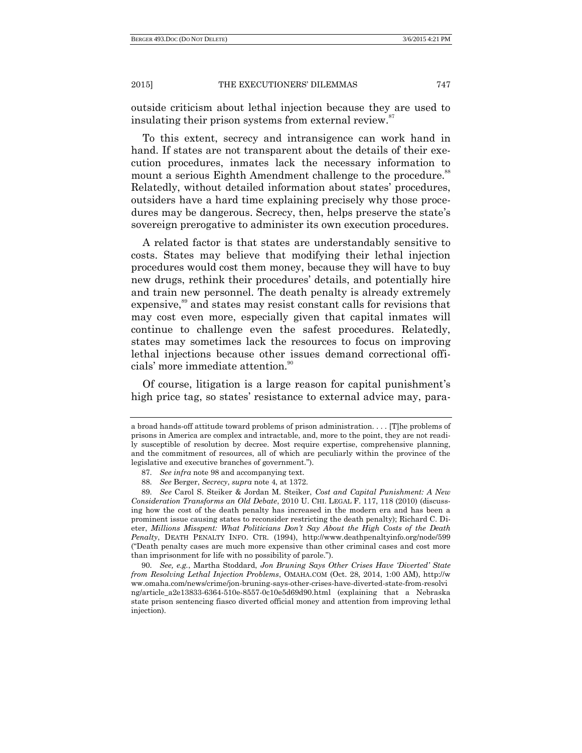outside criticism about lethal injection because they are used to insulating their prison systems from external review.<sup>87</sup>

To this extent, secrecy and intransigence can work hand in hand. If states are not transparent about the details of their execution procedures, inmates lack the necessary information to mount a serious Eighth Amendment challenge to the procedure.<sup>88</sup> Relatedly, without detailed information about states' procedures, outsiders have a hard time explaining precisely why those procedures may be dangerous. Secrecy, then, helps preserve the state's sovereign prerogative to administer its own execution procedures.

A related factor is that states are understandably sensitive to costs. States may believe that modifying their lethal injection procedures would cost them money, because they will have to buy new drugs, rethink their procedures' details, and potentially hire and train new personnel. The death penalty is already extremely expensive,<sup>89</sup> and states may resist constant calls for revisions that may cost even more, especially given that capital inmates will continue to challenge even the safest procedures. Relatedly, states may sometimes lack the resources to focus on improving lethal injections because other issues demand correctional officials' more immediate attention.<sup>90</sup>

Of course, litigation is a large reason for capital punishment's high price tag, so states' resistance to external advice may, para-

a broad hands-off attitude toward problems of prison administration. . . . [T]he problems of prisons in America are complex and intractable, and, more to the point, they are not readily susceptible of resolution by decree. Most require expertise, comprehensive planning, and the commitment of resources, all of which are peculiarly within the province of the legislative and executive branches of government.".

<sup>87.</sup> *See infra* note 98 and accompanying text.

<sup>88.</sup> *See* Berger, *Secrecy*, *supra* not[e 4,](#page-2-0) at 1372.

<sup>89.</sup> *See* Carol S. Steiker & Jordan M. Steiker, *Cost and Capital Punishment: A New Consideration Transforms an Old Debate*, 2010 U. CHI. LEGAL F. 117, 118 (2010) (discussing how the cost of the death penalty has increased in the modern era and has been a prominent issue causing states to reconsider restricting the death penalty); Richard C. Dieter, *Millions Misspent: What Politicians Don't Say About the High Costs of the Death Penalty*, DEATH PENALTY INFO. CTR. (1994), http://www.deathpenaltyinfo.org/node/599 (―Death penalty cases are much more expensive than other criminal cases and cost more than imprisonment for life with no possibility of parole.").

<sup>90.</sup> *See, e.g.*, Martha Stoddard, *Jon Bruning Says Other Crises Have 'Diverted' State from Resolving Lethal Injection Problems*, OMAHA.COM (Oct. 28, 2014, 1:00 AM), http://w ww.omaha.com/news/crime/jon-bruning-says-other-crises-have-diverted-state-from-resolvi ng/article\_a2e13833-6364-510e-8557-0c10e5d69d90.html (explaining that a Nebraska state prison sentencing fiasco diverted official money and attention from improving lethal injection).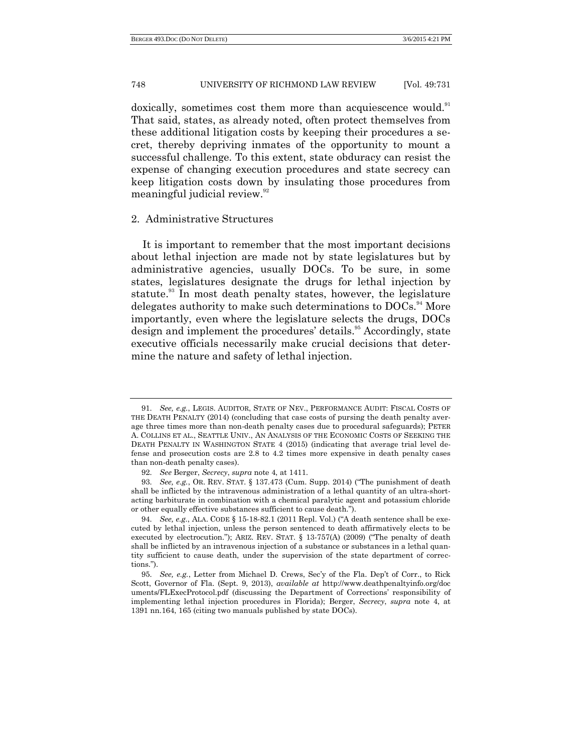doxically, sometimes cost them more than acquiescence would.<sup>91</sup> That said, states, as already noted, often protect themselves from these additional litigation costs by keeping their procedures a secret, thereby depriving inmates of the opportunity to mount a successful challenge. To this extent, state obduracy can resist the expense of changing execution procedures and state secrecy can keep litigation costs down by insulating those procedures from meaningful judicial review.<sup>92</sup>

#### 2. Administrative Structures

It is important to remember that the most important decisions about lethal injection are made not by state legislatures but by administrative agencies, usually DOCs. To be sure, in some states, legislatures designate the drugs for lethal injection by statute.<sup>33</sup> In most death penalty states, however, the legislature delegates authority to make such determinations to DOCs.<sup>94</sup> More importantly, even where the legislature selects the drugs, DOCs design and implement the procedures' details.<sup>95</sup> Accordingly, state executive officials necessarily make crucial decisions that determine the nature and safety of lethal injection.

<sup>91.</sup> *See, e.g.*, LEGIS. AUDITOR, STATE OF NEV., PERFORMANCE AUDIT: FISCAL COSTS OF THE DEATH PENALTY (2014) (concluding that case costs of pursing the death penalty average three times more than non-death penalty cases due to procedural safeguards); PETER A. COLLINS ET AL., SEATTLE UNIV., AN ANALYSIS OF THE ECONOMIC COSTS OF SEEKING THE DEATH PENALTY IN WASHINGTON STATE 4 (2015) (indicating that average trial level defense and prosecution costs are 2.8 to 4.2 times more expensive in death penalty cases than non-death penalty cases).

<sup>92.</sup> *See* Berger, *Secrecy*, *supra* not[e 4,](#page-2-0) at 1411.

<sup>93.</sup> *See, e.g.*, OR. REV. STAT. § 137.473 (Cum. Supp. 2014) ("The punishment of death shall be inflicted by the intravenous administration of a lethal quantity of an ultra-shortacting barbiturate in combination with a chemical paralytic agent and potassium chloride or other equally effective substances sufficient to cause death.").

<sup>94.</sup> *See, e.g.*, ALA. CODE § 15-18-82.1 (2011 Repl. Vol.) ("A death sentence shall be executed by lethal injection, unless the person sentenced to death affirmatively elects to be executed by electrocution."); ARIZ. REV. STAT.  $\S$  13-757(A) (2009) ("The penalty of death shall be inflicted by an intravenous injection of a substance or substances in a lethal quantity sufficient to cause death, under the supervision of the state department of corrections.").

<sup>95.</sup> *See, e.g.*, Letter from Michael D. Crews, Sec'y of the Fla. Dep't of Corr., to Rick Scott, Governor of Fla. (Sept. 9, 2013), *available at* http://www.deathpenaltyinfo.org/doc uments/FLExecProtocol.pdf (discussing the Department of Corrections' responsibility of implementing lethal injection procedures in Florida); Berger, *Secrecy*, *supra* note [4,](#page-2-0) at 1391 nn.164, 165 (citing two manuals published by state DOCs).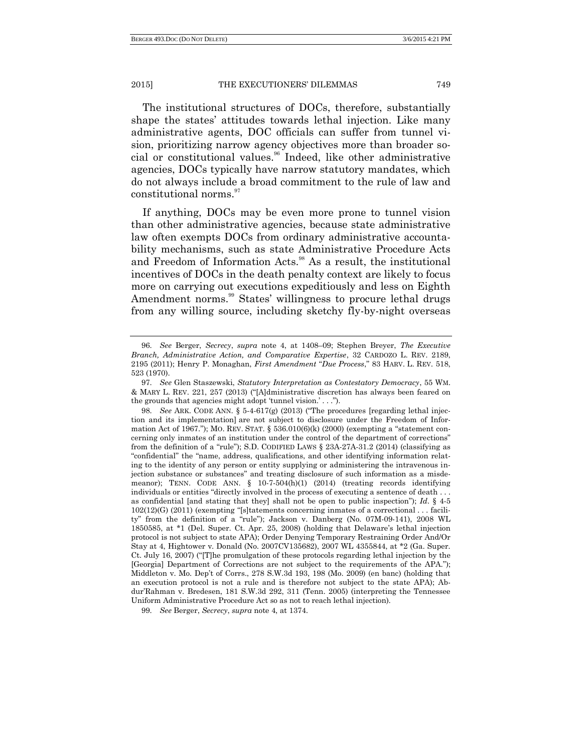The institutional structures of DOCs, therefore, substantially shape the states' attitudes towards lethal injection. Like many administrative agents, DOC officials can suffer from tunnel vision, prioritizing narrow agency objectives more than broader social or constitutional values.<sup>96</sup> Indeed, like other administrative agencies, DOCs typically have narrow statutory mandates, which do not always include a broad commitment to the rule of law and constitutional norms.<sup>97</sup>

If anything, DOCs may be even more prone to tunnel vision than other administrative agencies, because state administrative law often exempts DOCs from ordinary administrative accountability mechanisms, such as state Administrative Procedure Acts and Freedom of Information Acts.<sup>98</sup> As a result, the institutional incentives of DOCs in the death penalty context are likely to focus more on carrying out executions expeditiously and less on Eighth Amendment norms.<sup>99</sup> States' willingness to procure lethal drugs from any willing source, including sketchy fly-by-night overseas

<sup>96.</sup> *See* Berger, *Secrecy*, *supra* note [4,](#page-2-0) at 1408–09; Stephen Breyer, *The Executive Branch, Administrative Action, and Comparative Expertise*, 32 CARDOZO L. REV. 2189, 2195 (2011); Henry P. Monaghan, *First Amendment "Due Process*," 83 HARV. L. REV. 518, 523 (1970).

<sup>97.</sup> *See* Glen Staszewski, *Statutory Interpretation as Contestatory Democracy*, 55 WM. & MARY L. REV. 221, 257 (2013) ("[A]dministrative discretion has always been feared on the grounds that agencies might adopt 'tunnel vision.'  $\ldots$ .").

<sup>98.</sup> *See* ARK. CODE ANN. § 5-4-617(g) (2013) ("The procedures [regarding lethal injection and its implementation] are not subject to disclosure under the Freedom of Information Act of 1967."); MO. REV. STAT.  $\S$  536.010(6)(k) (2000) (exempting a "statement concerning only inmates of an institution under the control of the department of corrections" from the definition of a "rule"); S.D. CODIFIED LAWS  $\S$  23A-27A-31.2 (2014) (classifying as ―confidential‖ the ―name, address, qualifications, and other identifying information relating to the identity of any person or entity supplying or administering the intravenous injection substance or substances" and treating disclosure of such information as a misdemeanor); TENN. CODE ANN. § 10-7-504(h)(1) (2014) (treating records identifying individuals or entities "directly involved in the process of executing a sentence of death  $\dots$ as confidential [and stating that they] shall not be open to public inspection"); *Id.* § 4-5  $102(12)(G)$  (2011) (exempting "[s]tatements concerning inmates of a correctional . . . facility" from the definition of a "rule"); Jackson v. Danberg (No. 07M-09-141), 2008 WL 1850585, at \*1 (Del. Super. Ct. Apr. 25, 2008) (holding that Delaware's lethal injection protocol is not subject to state APA); Order Denying Temporary Restraining Order And/Or Stay at 4, Hightower v. Donald (No. 2007CV135682), 2007 WL 4355844, at \*2 (Ga. Super. Ct. July 16, 2007) ("[T]he promulgation of these protocols regarding lethal injection by the [Georgia] Department of Corrections are not subject to the requirements of the APA."); Middleton v. Mo. Dep't of Corrs., 278 S.W.3d 193, 198 (Mo. 2009) (en banc) (holding that an execution protocol is not a rule and is therefore not subject to the state APA); Abdur'Rahman v. Bredesen, 181 S.W.3d 292, 311 (Tenn. 2005) (interpreting the Tennessee Uniform Administrative Procedure Act so as not to reach lethal injection).

<sup>99.</sup> *See* Berger, *Secrecy*, *supra* not[e 4,](#page-2-0) at 1374.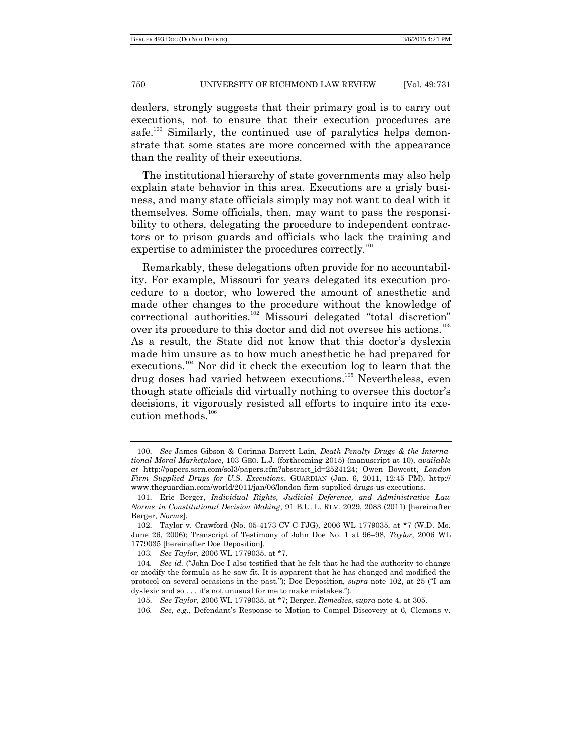dealers, strongly suggests that their primary goal is to carry out executions, not to ensure that their execution procedures are safe.<sup>100</sup> Similarly, the continued use of paralytics helps demonstrate that some states are more concerned with the appearance than the reality of their executions.

The institutional hierarchy of state governments may also help explain state behavior in this area. Executions are a grisly business, and many state officials simply may not want to deal with it themselves. Some officials, then, may want to pass the responsibility to others, delegating the procedure to independent contractors or to prison guards and officials who lack the training and expertise to administer the procedures correctly.<sup>101</sup>

Remarkably, these delegations often provide for no accountability. For example, Missouri for years delegated its execution procedure to a doctor, who lowered the amount of anesthetic and made other changes to the procedure without the knowledge of correctional authorities.<sup>102</sup> Missouri delegated "total discretion" over its procedure to this doctor and did not oversee his actions.<sup>103</sup> As a result, the State did not know that this doctor's dyslexia made him unsure as to how much anesthetic he had prepared for executions.<sup>104</sup> Nor did it check the execution log to learn that the drug doses had varied between executions. <sup>105</sup> Nevertheless, even though state officials did virtually nothing to oversee this doctor's decisions, it vigorously resisted all efforts to inquire into its execution methods.<sup>106</sup>

<sup>100.</sup> *See* James Gibson & Corinna Barrett Lain, *Death Penalty Drugs & the International Moral Marketplace*, 103 GEO. L.J. (forthcoming 2015) (manuscript at 10), *available at* http://papers.ssrn.com/sol3/papers.cfm?abstract\_id=2524124; Owen Bowcott, *London Firm Supplied Drugs for U.S. Executions*, GUARDIAN (Jan. 6, 2011, 12:45 PM), http:// www.theguardian.com/world/2011/jan/06/london-firm-supplied-drugs-us-executions.

<sup>101.</sup> Eric Berger, *Individual Rights, Judicial Deference, and Administrative Law Norms in Constitutional Decision Making*, 91 B.U. L. REV. 2029, 2083 (2011) [hereinafter Berger, *Norms*].

<sup>102.</sup> Taylor v. Crawford (No. 05-4173-CV-C-FJG), 2006 WL 1779035, at \*7 (W.D. Mo. June 26, 2006); Transcript of Testimony of John Doe No. 1 at 96–98, *Taylor*, 2006 WL 1779035 [hereinafter Doe Deposition].

<sup>103</sup>*. See Taylor*, 2006 WL 1779035, at \*7.

<sup>104.</sup> *See id.* ("John Doe I also testified that he felt that he had the authority to change or modify the formula as he saw fit. It is apparent that he has changed and modified the protocol on several occasions in the past."); Doe Deposition, *supra* note 102, at 25 ("I am dyslexic and so  $\dots$  it's not unusual for me to make mistakes.").

<sup>105.</sup> *See Taylor*, 2006 WL 1779035, at \*7; Berger, *Remedies*, *supra* not[e 4,](#page-2-0) at 305.

<sup>106</sup>*. See, e.g.*, Defendant's Response to Motion to Compel Discovery at 6, Clemons v.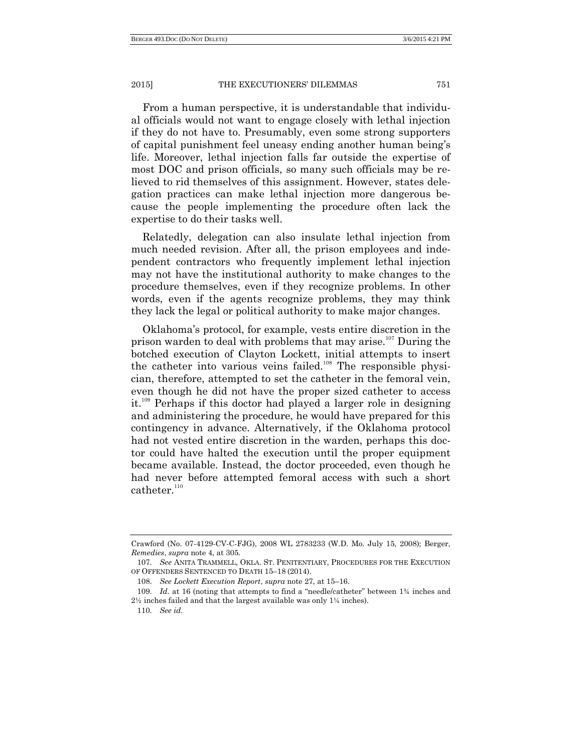From a human perspective, it is understandable that individual officials would not want to engage closely with lethal injection if they do not have to. Presumably, even some strong supporters of capital punishment feel uneasy ending another human being's life. Moreover, lethal injection falls far outside the expertise of most DOC and prison officials, so many such officials may be relieved to rid themselves of this assignment. However, states delegation practices can make lethal injection more dangerous because the people implementing the procedure often lack the expertise to do their tasks well.

Relatedly, delegation can also insulate lethal injection from much needed revision. After all, the prison employees and independent contractors who frequently implement lethal injection may not have the institutional authority to make changes to the procedure themselves, even if they recognize problems. In other words, even if the agents recognize problems, they may think they lack the legal or political authority to make major changes.

Oklahoma's protocol, for example, vests entire discretion in the prison warden to deal with problems that may arise.<sup>107</sup> During the botched execution of Clayton Lockett, initial attempts to insert the catheter into various veins failed.<sup>108</sup> The responsible physician, therefore, attempted to set the catheter in the femoral vein, even though he did not have the proper sized catheter to access it.<sup>109</sup> Perhaps if this doctor had played a larger role in designing and administering the procedure, he would have prepared for this contingency in advance. Alternatively, if the Oklahoma protocol had not vested entire discretion in the warden, perhaps this doctor could have halted the execution until the proper equipment became available. Instead, the doctor proceeded, even though he had never before attempted femoral access with such a short catheter. $110$ 

Crawford (No. 07-4129-CV-C-FJG), 2008 WL 2783233 (W.D. Mo. July 15, 2008); Berger, *Remedies*, *supra* note 4, at 305.

<sup>107.</sup> *See* ANITA TRAMMELL, OKLA. ST. PENITENTIARY, PROCEDURES FOR THE EXECUTION OF OFFENDERS SENTENCED TO DEATH 15–18 (2014).

<sup>108.</sup> *See Lockett Execution Report*, *supra* note 27, at 15–16.

<sup>109.</sup> *Id.* at 16 (noting that attempts to find a "needle/catheter" between 1<sup>3</sup>/<sub>4</sub> inches and 2½ inches failed and that the largest available was only 1¼ inches).

<sup>110.</sup> *See id*.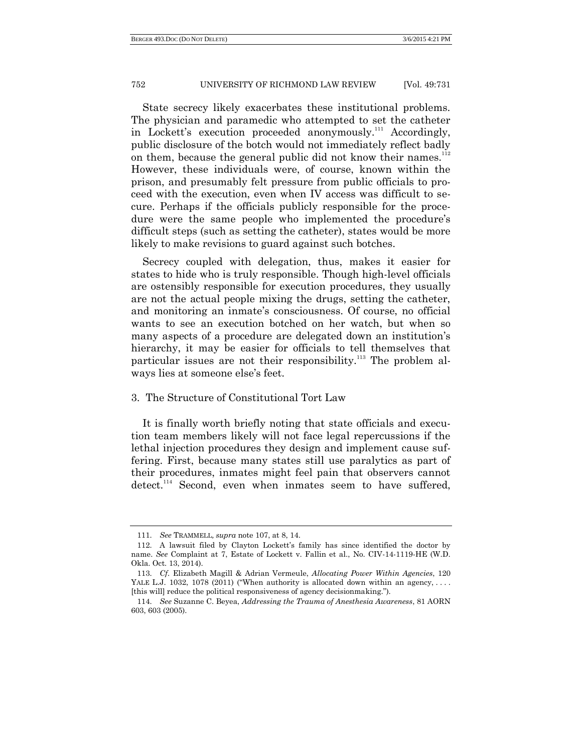State secrecy likely exacerbates these institutional problems. The physician and paramedic who attempted to set the catheter in Lockett's execution proceeded anonymously.<sup>111</sup> Accordingly, public disclosure of the botch would not immediately reflect badly on them, because the general public did not know their names.<sup>112</sup> However, these individuals were, of course, known within the prison, and presumably felt pressure from public officials to proceed with the execution, even when IV access was difficult to secure. Perhaps if the officials publicly responsible for the procedure were the same people who implemented the procedure's difficult steps (such as setting the catheter), states would be more likely to make revisions to guard against such botches.

Secrecy coupled with delegation, thus, makes it easier for states to hide who is truly responsible. Though high-level officials are ostensibly responsible for execution procedures, they usually are not the actual people mixing the drugs, setting the catheter, and monitoring an inmate's consciousness. Of course, no official wants to see an execution botched on her watch, but when so many aspects of a procedure are delegated down an institution's hierarchy, it may be easier for officials to tell themselves that particular issues are not their responsibility.<sup>113</sup> The problem always lies at someone else's feet.

#### 3. The Structure of Constitutional Tort Law

It is finally worth briefly noting that state officials and execution team members likely will not face legal repercussions if the lethal injection procedures they design and implement cause suffering. First, because many states still use paralytics as part of their procedures, inmates might feel pain that observers cannot  $\det$   $\det$ <sup>114</sup> Second, even when inmates seem to have suffered,

<sup>111.</sup> *See* TRAMMELL*, supra* note 107, at 8, 14.

<sup>112.</sup> A lawsuit filed by Clayton Lockett's family has since identified the doctor by name. *See* Complaint at 7, Estate of Lockett v. Fallin et al., No. CIV-14-1119-HE (W.D. Okla. Oct. 13, 2014).

<sup>113.</sup> *Cf*. Elizabeth Magill & Adrian Vermeule, *Allocating Power Within Agencies*, 120 YALE L.J. 1032, 1078 (2011) ("When authority is allocated down within an agency, ... [this will] reduce the political responsiveness of agency decisionmaking.‖).

<sup>114.</sup> *See* Suzanne C. Beyea, *Addressing the Trauma of Anesthesia Awareness*, 81 AORN 603, 603 (2005).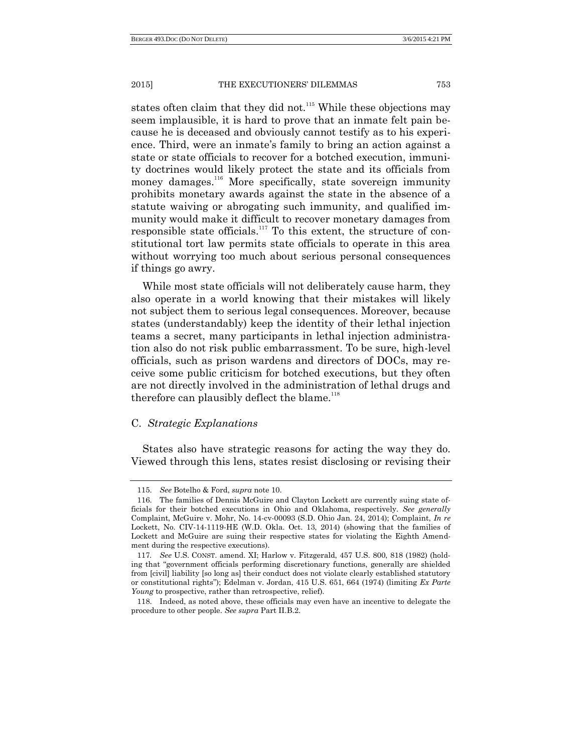states often claim that they did not.<sup>115</sup> While these objections may seem implausible, it is hard to prove that an inmate felt pain because he is deceased and obviously cannot testify as to his experience. Third, were an inmate's family to bring an action against a state or state officials to recover for a botched execution, immunity doctrines would likely protect the state and its officials from money damages.<sup>116</sup> More specifically, state sovereign immunity prohibits monetary awards against the state in the absence of a statute waiving or abrogating such immunity, and qualified immunity would make it difficult to recover monetary damages from responsible state officials. $117$  To this extent, the structure of constitutional tort law permits state officials to operate in this area without worrying too much about serious personal consequences if things go awry.

While most state officials will not deliberately cause harm, they also operate in a world knowing that their mistakes will likely not subject them to serious legal consequences. Moreover, because states (understandably) keep the identity of their lethal injection teams a secret, many participants in lethal injection administration also do not risk public embarrassment. To be sure, high-level officials, such as prison wardens and directors of DOCs, may receive some public criticism for botched executions, but they often are not directly involved in the administration of lethal drugs and therefore can plausibly deflect the blame.<sup>118</sup>

#### C. *Strategic Explanations*

States also have strategic reasons for acting the way they do. Viewed through this lens, states resist disclosing or revising their

<sup>115.</sup> *See* Botelho & Ford, *supra* note 10.

<sup>116.</sup> The families of Dennis McGuire and Clayton Lockett are currently suing state officials for their botched executions in Ohio and Oklahoma, respectively. *See generally* Complaint, McGuire v. Mohr, No. 14-cv-00093 (S.D. Ohio Jan. 24, 2014); Complaint, *In re* Lockett, No. CIV-14-1119-HE (W.D. Okla. Oct. 13, 2014) (showing that the families of Lockett and McGuire are suing their respective states for violating the Eighth Amendment during the respective executions).

<sup>117</sup>*. See* U.S. CONST. amend. XI; Harlow v. Fitzgerald, 457 U.S. 800, 818 (1982) (holding that "government officials performing discretionary functions, generally are shielded from [civil] liability [so long as] their conduct does not violate clearly established statutory or constitutional rights‖); Edelman v. Jordan, 415 U.S. 651, 664 (1974) (limiting *Ex Parte Young* to prospective, rather than retrospective, relief).

<sup>118.</sup> Indeed, as noted above, these officials may even have an incentive to delegate the procedure to other people. *See supra* Part II.B.2.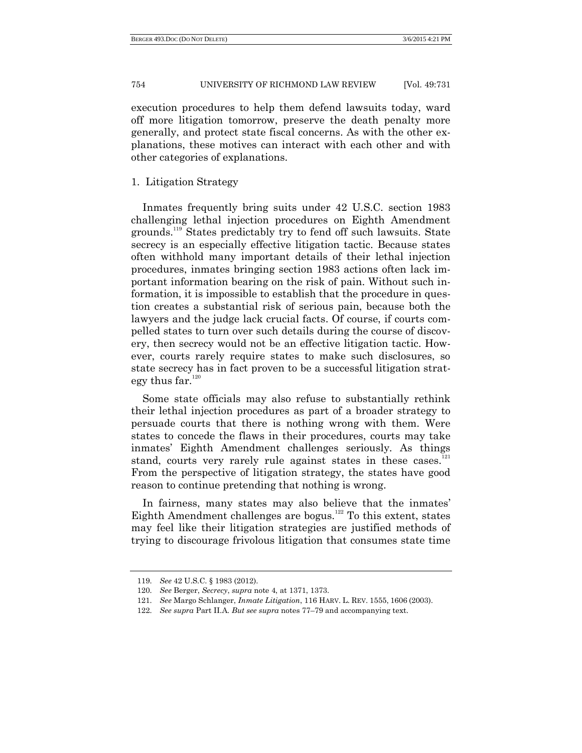execution procedures to help them defend lawsuits today, ward off more litigation tomorrow, preserve the death penalty more generally, and protect state fiscal concerns. As with the other explanations, these motives can interact with each other and with other categories of explanations.

#### 1. Litigation Strategy

Inmates frequently bring suits under 42 U.S.C. section 1983 challenging lethal injection procedures on Eighth Amendment grounds.<sup>119</sup> States predictably try to fend off such lawsuits. State secrecy is an especially effective litigation tactic. Because states often withhold many important details of their lethal injection procedures, inmates bringing section 1983 actions often lack important information bearing on the risk of pain. Without such information, it is impossible to establish that the procedure in question creates a substantial risk of serious pain, because both the lawyers and the judge lack crucial facts. Of course, if courts compelled states to turn over such details during the course of discovery, then secrecy would not be an effective litigation tactic. However, courts rarely require states to make such disclosures, so state secrecy has in fact proven to be a successful litigation strategy thus  $far.^{120}$ 

Some state officials may also refuse to substantially rethink their lethal injection procedures as part of a broader strategy to persuade courts that there is nothing wrong with them. Were states to concede the flaws in their procedures, courts may take inmates' Eighth Amendment challenges seriously. As things stand, courts very rarely rule against states in these cases.<sup>121</sup> From the perspective of litigation strategy, the states have good reason to continue pretending that nothing is wrong.

In fairness, many states may also believe that the inmates' Eighth Amendment challenges are bogus.<sup>122</sup> To this extent, states may feel like their litigation strategies are justified methods of trying to discourage frivolous litigation that consumes state time

<sup>119.</sup> *See* 42 U.S.C. § 1983 (2012).

<sup>120.</sup> *See* Berger, *Secrecy*, *supra* not[e 4,](#page-2-0) at 1371, 1373.

<sup>121.</sup> *See* Margo Schlanger, *Inmate Litigation*, 116 HARV. L. REV. 1555, 1606 (2003).

<sup>122.</sup> *See supra* Part II.A. *But see supra* notes 77–79 and accompanying text.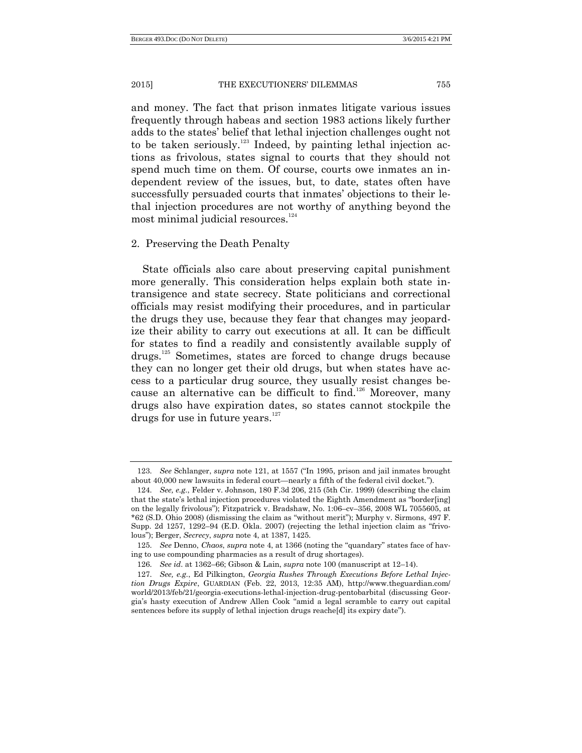and money. The fact that prison inmates litigate various issues frequently through habeas and section 1983 actions likely further adds to the states' belief that lethal injection challenges ought not to be taken seriously.<sup>123</sup> Indeed, by painting lethal injection actions as frivolous, states signal to courts that they should not spend much time on them. Of course, courts owe inmates an independent review of the issues, but, to date, states often have successfully persuaded courts that inmates' objections to their lethal injection procedures are not worthy of anything beyond the most minimal judicial resources. 124

#### 2. Preserving the Death Penalty

State officials also care about preserving capital punishment more generally. This consideration helps explain both state intransigence and state secrecy. State politicians and correctional officials may resist modifying their procedures, and in particular the drugs they use, because they fear that changes may jeopardize their ability to carry out executions at all. It can be difficult for states to find a readily and consistently available supply of drugs.<sup>125</sup> Sometimes, states are forced to change drugs because they can no longer get their old drugs, but when states have access to a particular drug source, they usually resist changes because an alternative can be difficult to find.<sup>126</sup> Moreover, many drugs also have expiration dates, so states cannot stockpile the drugs for use in future years. $127$ 

<sup>123.</sup> *See* Schlanger, *supra* note 121, at 1557 ("In 1995, prison and jail inmates brought about 40,000 new lawsuits in federal court—nearly a fifth of the federal civil docket.").

<sup>124.</sup> *See, e.g.*, Felder v. Johnson, 180 F.3d 206, 215 (5th Cir. 1999) (describing the claim that the state's lethal injection procedures violated the Eighth Amendment as "border[ing] on the legally frivolous"); Fitzpatrick v. Bradshaw, No.  $1:06$ –cv–356, 2008 WL 7055605, at \*62 (S.D. Ohio 2008) (dismissing the claim as ―without merit‖); Murphy v. Sirmons, 497 F. Supp. 2d  $1257$ ,  $1292-94$  (E.D. Okla. 2007) (rejecting the lethal injection claim as "frivolous‖); Berger, *Secrecy*, *supra* note [4,](#page-2-0) at 1387, 1425.

<sup>125.</sup> *See* Denno, *Chaos*, *supra* note 4, at 1366 (noting the "quandary" states face of having to use compounding pharmacies as a result of drug shortages).

<sup>126.</sup> *See id*. at 1362–66; Gibson & Lain, *supra* note 100 (manuscript at 12–14).

<sup>127.</sup> *See, e.g.*, Ed Pilkington, *Georgia Rushes Through Executions Before Lethal Injection Drugs Expire*, GUARDIAN (Feb. 22, 2013, 12:35 AM), http://www.theguardian.com/ world/2013/feb/21/georgia-executions-lethal-injection-drug-pentobarbital (discussing Georgia's hasty execution of Andrew Allen Cook "amid a legal scramble to carry out capital sentences before its supply of lethal injection drugs reache[d] its expiry date").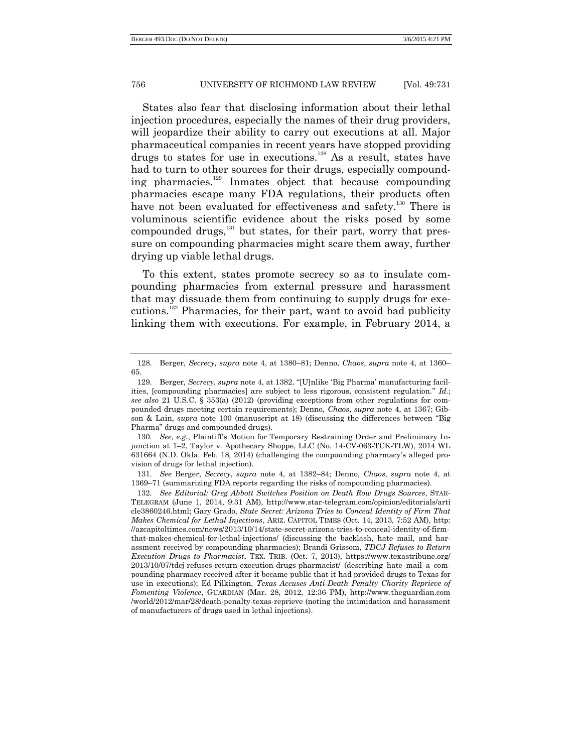States also fear that disclosing information about their lethal injection procedures, especially the names of their drug providers, will jeopardize their ability to carry out executions at all. Major pharmaceutical companies in recent years have stopped providing drugs to states for use in executions.<sup>128</sup> As a result, states have had to turn to other sources for their drugs, especially compounding pharmacies.<sup>129</sup> Inmates object that because compounding pharmacies escape many FDA regulations, their products often have not been evaluated for effectiveness and safety.<sup>130</sup> There is voluminous scientific evidence about the risks posed by some compounded drugs, $^{131}$  but states, for their part, worry that pressure on compounding pharmacies might scare them away, further drying up viable lethal drugs.

To this extent, states promote secrecy so as to insulate compounding pharmacies from external pressure and harassment that may dissuade them from continuing to supply drugs for executions.<sup>132</sup> Pharmacies, for their part, want to avoid bad publicity linking them with executions. For example, in February 2014, a

130. *See, e.g.*, Plaintiff's Motion for Temporary Restraining Order and Preliminary Injunction at 1–2, Taylor v. Apothecary Shoppe, LLC (No. 14-CV-063-TCK-TLW), 2014 WL 631664 (N.D. Okla. Feb. 18, 2014) (challenging the compounding pharmacy's alleged provision of drugs for lethal injection).

131. *See* Berger, *Secrecy*, *supra* note 4, at 1382–84; Denno, *Chaos*, *supra* note 4, at 1369–71 (summarizing FDA reports regarding the risks of compounding pharmacies).

<sup>128.</sup> Berger, *Secrecy*, *supra* note 4, at 1380–81; Denno, *Chaos*, *supra* note 4, at 1360– 65.

<sup>129.</sup> Berger, *Secrecy*, *supra* note 4, at 1382. "[U]nlike 'Big Pharma' manufacturing facilities, [compounding pharmacies] are subject to less rigorous, consistent regulation." *Id.*; *see also* 21 U.S.C. § 353(a) (2012) (providing exceptions from other regulations for compounded drugs meeting certain requirements); Denno, *Chaos*, *supra* note 4, at 1367; Gibson & Lain, *supra* note 100 (manuscript at 18) (discussing the differences between "Big Pharma" drugs and compounded drugs).

<sup>132.</sup> *See Editorial: Greg Abbott Switches Position on Death Row Drugs Sources*, STAR-TELEGRAM (June 1, 2014, 9:31 AM), http://www.star-telegram.com/opinion/editorials/arti cle3860246.html; Gary Grado, *State Secret: Arizona Tries to Conceal Identity of Firm That Makes Chemical for Lethal Injections*, ARIZ. CAPITOL TIMES (Oct. 14, 2013, 7:52 AM), http: //azcapitoltimes.com/news/2013/10/14/state-secret-arizona-tries-to-conceal-identity-of-firmthat-makes-chemical-for-lethal-injections/ (discussing the backlash, hate mail, and harassment received by compounding pharmacies); Brandi Grissom, *TDCJ Refuses to Return Execution Drugs to Pharmacist*, TEX. TRIB. (Oct. 7, 2013), https://www.texastribune.org/ 2013/10/07/tdcj-refuses-return-execution-drugs-pharmacist/ (describing hate mail a compounding pharmacy received after it became public that it had provided drugs to Texas for use in executions); Ed Pilkington, *Texas Accuses Anti-Death Penalty Charity Reprieve of Fomenting Violence*, GUARDIAN (Mar. 28, 2012, 12:36 PM), http://www.theguardian.com /world/2012/mar/28/death-penalty-texas-reprieve (noting the intimidation and harassment of manufacturers of drugs used in lethal injections).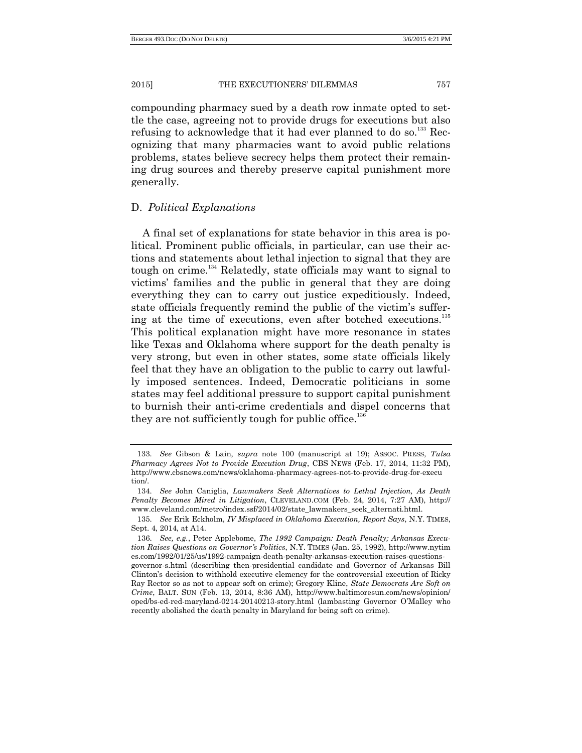compounding pharmacy sued by a death row inmate opted to settle the case, agreeing not to provide drugs for executions but also refusing to acknowledge that it had ever planned to do so.<sup>133</sup> Recognizing that many pharmacies want to avoid public relations problems, states believe secrecy helps them protect their remaining drug sources and thereby preserve capital punishment more generally.

#### D. *Political Explanations*

A final set of explanations for state behavior in this area is political. Prominent public officials, in particular, can use their actions and statements about lethal injection to signal that they are tough on crime.<sup>134</sup> Relatedly, state officials may want to signal to victims' families and the public in general that they are doing everything they can to carry out justice expeditiously. Indeed, state officials frequently remind the public of the victim's suffering at the time of executions, even after botched executions.<sup>135</sup> This political explanation might have more resonance in states like Texas and Oklahoma where support for the death penalty is very strong, but even in other states, some state officials likely feel that they have an obligation to the public to carry out lawfully imposed sentences. Indeed, Democratic politicians in some states may feel additional pressure to support capital punishment to burnish their anti-crime credentials and dispel concerns that they are not sufficiently tough for public office.<sup>136</sup>

<sup>133.</sup> *See* Gibson & Lain, *supra* note 100 (manuscript at 19); ASSOC. PRESS, *Tulsa Pharmacy Agrees Not to Provide Execution Drug*, CBS NEWS (Feb. 17, 2014, 11:32 PM), http://www.cbsnews.com/news/oklahoma-pharmacy-agrees-not-to-provide-drug-for-execu tion/.

<sup>134.</sup> *See* John Caniglia, *Lawmakers Seek Alternatives to Lethal Injection, As Death Penalty Becomes Mired in Litigation*, CLEVELAND.COM (Feb. 24, 2014, 7:27 AM), http:// www.cleveland.com/metro/index.ssf/2014/02/state\_lawmakers\_seek\_alternati.html.

<sup>135.</sup> *See* Erik Eckholm, *IV Misplaced in Oklahoma Execution, Report Says*, N.Y. TIMES, Sept. 4, 2014, at A14.

<sup>136.</sup> *See, e.g.*, Peter Applebome, *The 1992 Campaign: Death Penalty; Arkansas Execution Raises Questions on Governor's Politics*, N.Y. TIMES (Jan. 25, 1992), http://www.nytim es.com/1992/01/25/us/1992-campaign-death-penalty-arkansas-execution-raises-questionsgovernor-s.html (describing then-presidential candidate and Governor of Arkansas Bill Clinton's decision to withhold executive clemency for the controversial execution of Ricky Ray Rector so as not to appear soft on crime); Gregory Kline, *State Democrats Are Soft on Crime*, BALT. SUN (Feb. 13, 2014, 8:36 AM), http://www.baltimoresun.com/news/opinion/ oped/bs-ed-red-maryland-0214-20140213-story.html (lambasting Governor O'Malley who recently abolished the death penalty in Maryland for being soft on crime).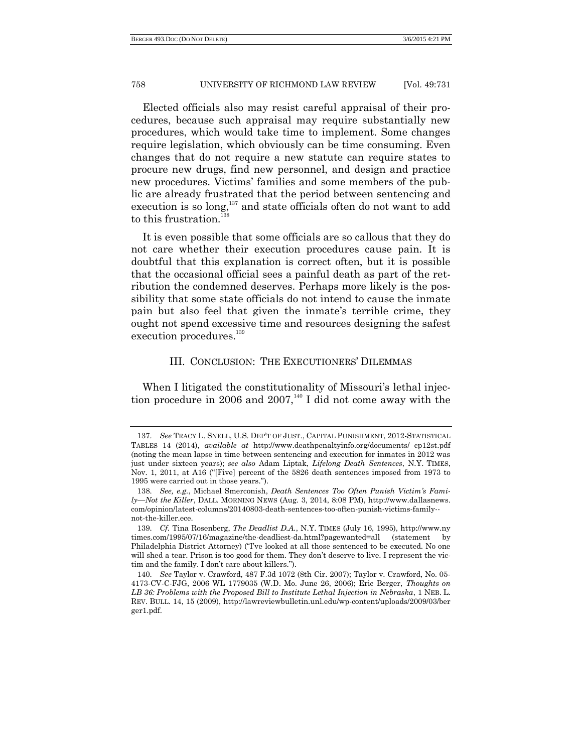Elected officials also may resist careful appraisal of their procedures, because such appraisal may require substantially new procedures, which would take time to implement. Some changes require legislation, which obviously can be time consuming. Even changes that do not require a new statute can require states to procure new drugs, find new personnel, and design and practice new procedures. Victims' families and some members of the public are already frustrated that the period between sentencing and execution is so long,<sup>137</sup> and state officials often do not want to add to this frustration. $138$ 

It is even possible that some officials are so callous that they do not care whether their execution procedures cause pain. It is doubtful that this explanation is correct often, but it is possible that the occasional official sees a painful death as part of the retribution the condemned deserves. Perhaps more likely is the possibility that some state officials do not intend to cause the inmate pain but also feel that given the inmate's terrible crime, they ought not spend excessive time and resources designing the safest execution procedures. 139

#### III. CONCLUSION: THE EXECUTIONERS' DILEMMAS

When I litigated the constitutionality of Missouri's lethal injection procedure in 2006 and 2007,<sup>140</sup> I did not come away with the

<sup>137.</sup> *See* TRACY L. SNELL, U.S. DEP'T OF JUST., CAPITAL PUNISHMENT, 2012-STATISTICAL TABLES 14 (2014), *available at* http://www.deathpenaltyinfo.org/documents/ cp12st.pdf (noting the mean lapse in time between sentencing and execution for inmates in 2012 was just under sixteen years); *see also* Adam Liptak, *Lifelong Death Sentences*, N.Y. TIMES, Nov. 1, 2011, at A16 ("[Five] percent of the 5826 death sentences imposed from 1973 to 1995 were carried out in those years.‖).

<sup>138.</sup> *See, e.g.*, Michael Smerconish, *Death Sentences Too Often Punish Victim's Family—Not the Killer*, DALL. MORNING NEWS (Aug. 3, 2014, 8:08 PM), http://www.dallasnews. com/opinion/latest-columns/20140803-death-sentences-too-often-punish-victims-family- not-the-killer.ece.

<sup>139.</sup> *Cf.* Tina Rosenberg, *The Deadlist D.A.*, N.Y. TIMES (July 16, 1995), http://www.ny times.com/1995/07/16/magazine/the-deadliest-da.html?pagewanted=all (statement by Philadelphia District Attorney) ("I've looked at all those sentenced to be executed. No one will shed a tear. Prison is too good for them. They don't deserve to live. I represent the victim and the family. I don't care about killers.").

<sup>140.</sup> *See* Taylor v. Crawford, 487 F.3d 1072 (8th Cir. 2007); Taylor v. Crawford, No. 05- 4173-CV-C-FJG, 2006 WL 1779035 (W.D. Mo. June 26, 2006); Eric Berger, *Thoughts on LB 36: Problems with the Proposed Bill to Institute Lethal Injection in Nebraska*, 1 NEB. L. REV. BULL. 14, 15 (2009), http://lawreviewbulletin.unl.edu/wp-content/uploads/2009/03/ber ger1.pdf.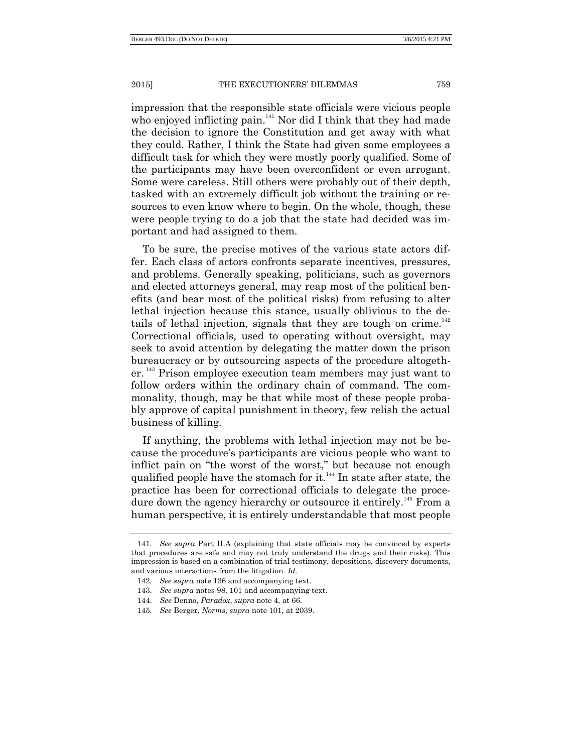impression that the responsible state officials were vicious people who enjoyed inflicting pain.<sup>141</sup> Nor did I think that they had made the decision to ignore the Constitution and get away with what they could. Rather, I think the State had given some employees a difficult task for which they were mostly poorly qualified. Some of the participants may have been overconfident or even arrogant. Some were careless. Still others were probably out of their depth, tasked with an extremely difficult job without the training or resources to even know where to begin. On the whole, though, these were people trying to do a job that the state had decided was important and had assigned to them.

To be sure, the precise motives of the various state actors differ. Each class of actors confronts separate incentives, pressures, and problems. Generally speaking, politicians, such as governors and elected attorneys general, may reap most of the political benefits (and bear most of the political risks) from refusing to alter lethal injection because this stance, usually oblivious to the details of lethal injection, signals that they are tough on crime. $142$ Correctional officials, used to operating without oversight, may seek to avoid attention by delegating the matter down the prison bureaucracy or by outsourcing aspects of the procedure altogether.<sup>143</sup> Prison employee execution team members may just want to follow orders within the ordinary chain of command. The commonality, though, may be that while most of these people probably approve of capital punishment in theory, few relish the actual business of killing.

If anything, the problems with lethal injection may not be because the procedure's participants are vicious people who want to inflict pain on "the worst of the worst," but because not enough qualified people have the stomach for it.<sup>144</sup> In state after state, the practice has been for correctional officials to delegate the procedure down the agency hierarchy or outsource it entirely.<sup>145</sup> From a human perspective, it is entirely understandable that most people

<sup>141.</sup> *See supra* Part II.A (explaining that state officials may be convinced by experts that procedures are safe and may not truly understand the drugs and their risks). This impression is based on a combination of trial testimony, depositions, discovery documents, and various interactions from the litigation. *Id.*

<sup>142.</sup> *See supra* note 136 and accompanying text.

<sup>143.</sup> *See supra* notes 98, 101 and accompanying text.

<sup>144.</sup> *See* Denno, *Paradox*, *supra* note 4, at 66.

<sup>145.</sup> *See* Berger, *Norms*, *supra* note 101, at 2039.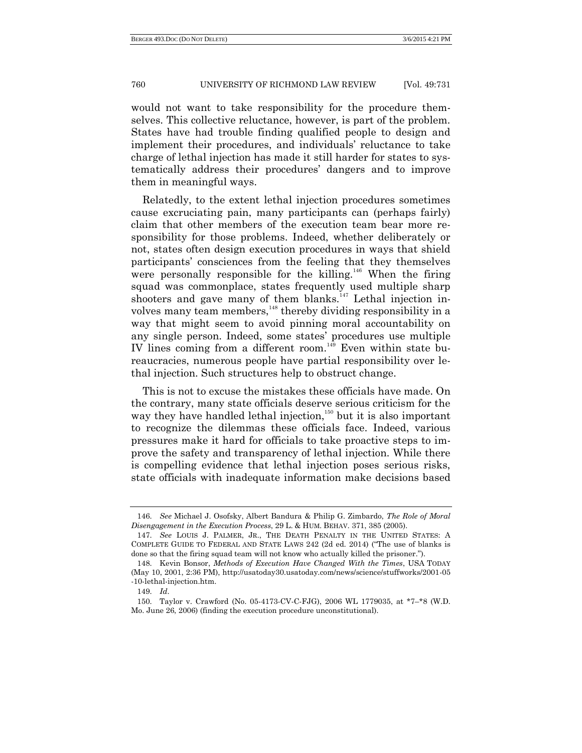would not want to take responsibility for the procedure themselves. This collective reluctance, however, is part of the problem. States have had trouble finding qualified people to design and implement their procedures, and individuals' reluctance to take charge of lethal injection has made it still harder for states to systematically address their procedures' dangers and to improve them in meaningful ways.

Relatedly, to the extent lethal injection procedures sometimes cause excruciating pain, many participants can (perhaps fairly) claim that other members of the execution team bear more responsibility for those problems. Indeed, whether deliberately or not, states often design execution procedures in ways that shield participants' consciences from the feeling that they themselves were personally responsible for the killing.<sup>146</sup> When the firing squad was commonplace, states frequently used multiple sharp shooters and gave many of them blanks.<sup>147</sup> Lethal injection involves many team members, $148$  thereby dividing responsibility in a way that might seem to avoid pinning moral accountability on any single person. Indeed, some states' procedures use multiple IV lines coming from a different room.<sup>149</sup> Even within state bureaucracies, numerous people have partial responsibility over lethal injection. Such structures help to obstruct change.

This is not to excuse the mistakes these officials have made. On the contrary, many state officials deserve serious criticism for the way they have handled lethal injection,<sup>150</sup> but it is also important to recognize the dilemmas these officials face. Indeed, various pressures make it hard for officials to take proactive steps to improve the safety and transparency of lethal injection. While there is compelling evidence that lethal injection poses serious risks, state officials with inadequate information make decisions based

<sup>146.</sup> *See* Michael J. Osofsky, Albert Bandura & Philip G. Zimbardo, *The Role of Moral Disengagement in the Execution Process*, 29 L. & HUM. BEHAV. 371, 385 (2005).

<sup>147.</sup> *See* LOUIS J. PALMER, JR., THE DEATH PENALTY IN THE UNITED STATES: A COMPLETE GUIDE TO FEDERAL AND STATE LAWS 242 (2d ed. 2014) ("The use of blanks is done so that the firing squad team will not know who actually killed the prisoner.").

<sup>148.</sup> Kevin Bonsor, *Methods of Execution Have Changed With the Times*, USA TODAY (May 10, 2001, 2:36 PM), http://usatoday30.usatoday.com/news/science/stuffworks/2001-05 -10-lethal-injection.htm.

<sup>149.</sup> *Id*.

<sup>150.</sup> Taylor v. Crawford (No. 05-4173-CV-C-FJG), 2006 WL 1779035, at \*7–\*8 (W.D. Mo. June 26, 2006) (finding the execution procedure unconstitutional).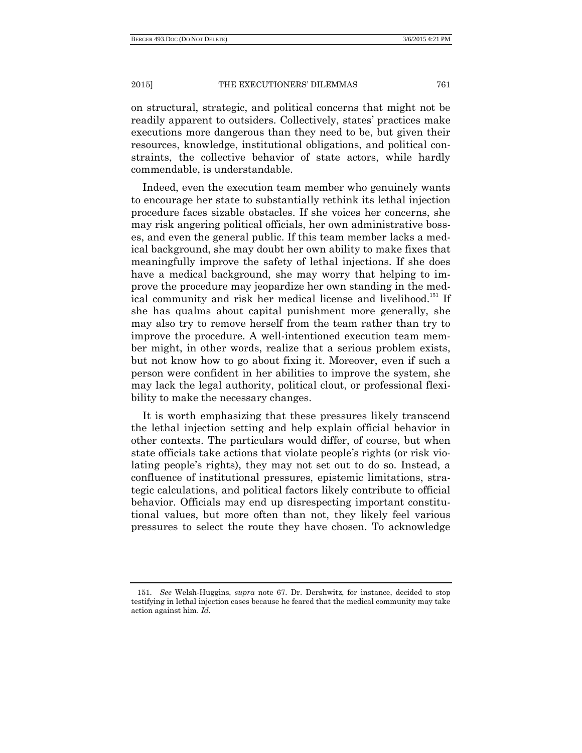on structural, strategic, and political concerns that might not be readily apparent to outsiders. Collectively, states' practices make executions more dangerous than they need to be, but given their resources, knowledge, institutional obligations, and political constraints, the collective behavior of state actors, while hardly commendable, is understandable.

Indeed, even the execution team member who genuinely wants to encourage her state to substantially rethink its lethal injection procedure faces sizable obstacles. If she voices her concerns, she may risk angering political officials, her own administrative bosses, and even the general public. If this team member lacks a medical background, she may doubt her own ability to make fixes that meaningfully improve the safety of lethal injections. If she does have a medical background, she may worry that helping to improve the procedure may jeopardize her own standing in the medical community and risk her medical license and livelihood.<sup>151</sup> If she has qualms about capital punishment more generally, she may also try to remove herself from the team rather than try to improve the procedure. A well-intentioned execution team member might, in other words, realize that a serious problem exists, but not know how to go about fixing it. Moreover, even if such a person were confident in her abilities to improve the system, she may lack the legal authority, political clout, or professional flexibility to make the necessary changes.

It is worth emphasizing that these pressures likely transcend the lethal injection setting and help explain official behavior in other contexts. The particulars would differ, of course, but when state officials take actions that violate people's rights (or risk violating people's rights), they may not set out to do so. Instead, a confluence of institutional pressures, epistemic limitations, strategic calculations, and political factors likely contribute to official behavior. Officials may end up disrespecting important constitutional values, but more often than not, they likely feel various pressures to select the route they have chosen. To acknowledge

<sup>151.</sup> *See* Welsh-Huggins, *supra* note 67. Dr. Dershwitz, for instance, decided to stop testifying in lethal injection cases because he feared that the medical community may take action against him. *Id.*